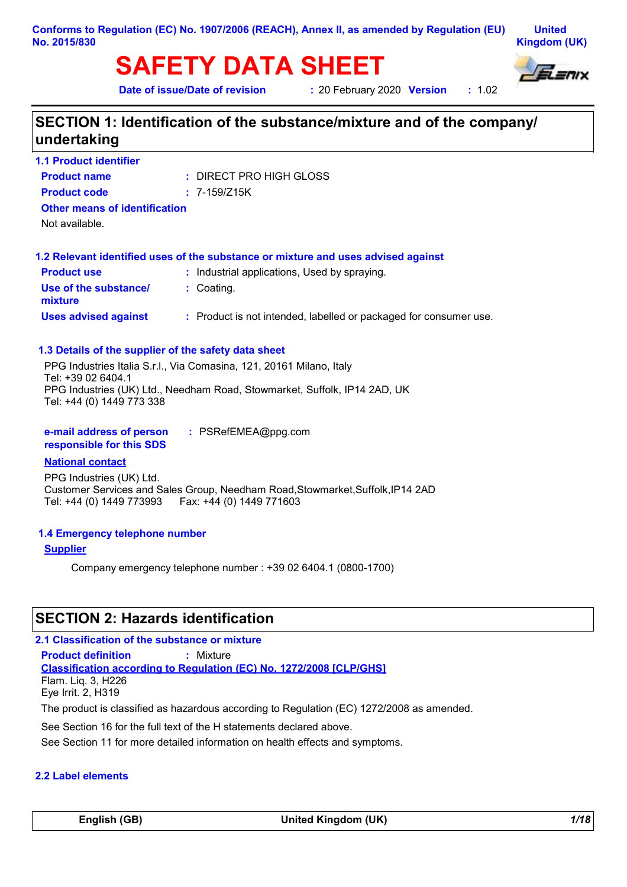#### **Conforms to Regulation (EC) No. 1907/2006 (REACH), Annex II, as amended by Regulation (EU) No. 2015/830**

**United Kingdom (UK)**

# **SAFETY DATA SHEET**



**Date of issue/Date of revision** 

**20 February 2020 Version : 1.02** 

# **SECTION 1: Identification of the substance/mixture and of the company/ undertaking**

| <b>1.1 Product identifier</b>                        |                                                                                   |
|------------------------------------------------------|-----------------------------------------------------------------------------------|
| <b>Product name</b>                                  | : DIRECT PRO HIGH GLOSS                                                           |
| <b>Product code</b>                                  | $: 7 - 159/Z15K$                                                                  |
| <b>Other means of identification</b>                 |                                                                                   |
| Not available.                                       |                                                                                   |
|                                                      | 1.2 Relevant identified uses of the substance or mixture and uses advised against |
| <b>Product use</b>                                   | : Industrial applications, Used by spraying.                                      |
| Use of the substance/<br>mixture                     | : Coating.                                                                        |
| <b>Uses advised against</b>                          | : Product is not intended, labelled or packaged for consumer use.                 |
| 1.3 Details of the supplier of the safety data sheet |                                                                                   |
|                                                      | PPG Industries Italia S.r.l., Via Comasina, 121, 20161 Milano, Italy              |
| Tel: +39 02 6404.1                                   |                                                                                   |
| Tel: +44 (0) 1449 773 338                            | PPG Industries (UK) Ltd., Needham Road, Stowmarket, Suffolk, IP14 2AD, UK         |
| e-mail address of person<br>responsible for this SDS | : PSRefEMEA@ppg.com                                                               |
| <b>National contact</b>                              |                                                                                   |

PPG Industries (UK) Ltd. Customer Services and Sales Group, Needham Road,Stowmarket,Suffolk,IP14 2AD Tel: +44 (0) 1449 773993 Fax: +44 (0) 1449 771603

#### **1.4 Emergency telephone number**

**Supplier**

Company emergency telephone number : +39 02 6404.1 (0800-1700)

# **SECTION 2: Hazards identification**

#### **2.1 Classification of the substance or mixture**

**Classification according to Regulation (EC) No. 1272/2008 [CLP/GHS] Product definition :** Mixture Flam. Liq. 3, H226 Eye Irrit. 2, H319

The product is classified as hazardous according to Regulation (EC) 1272/2008 as amended.

See Section 16 for the full text of the H statements declared above.

See Section 11 for more detailed information on health effects and symptoms.

#### **2.2 Label elements**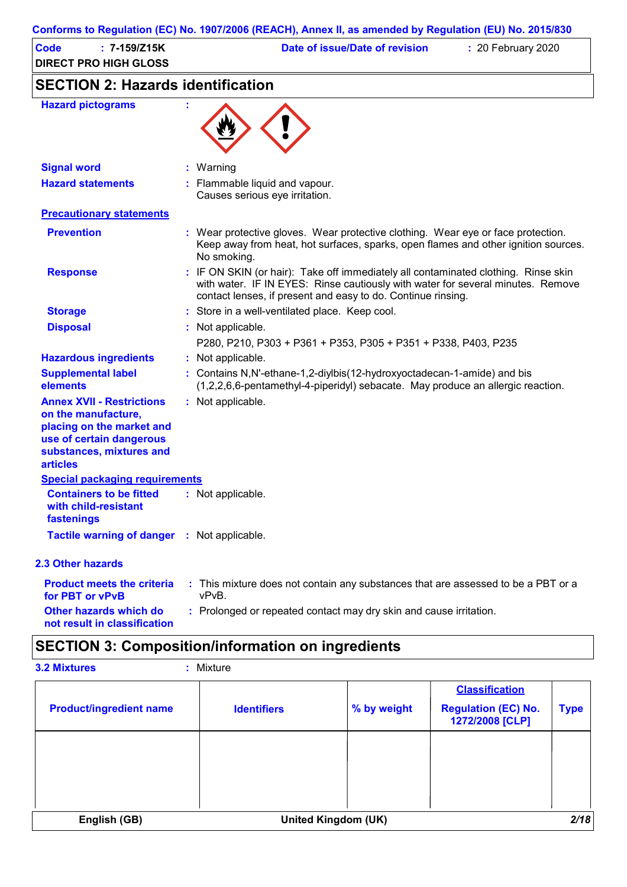|                                                                                                                                                                 | Conforms to Regulation (EC) No. 1907/2006 (REACH), Annex II, as amended by Regulation (EU) No. 2015/830                                                                                                                               |  |  |  |
|-----------------------------------------------------------------------------------------------------------------------------------------------------------------|---------------------------------------------------------------------------------------------------------------------------------------------------------------------------------------------------------------------------------------|--|--|--|
| $: 7 - 159/Z15K$<br>Code<br><b>DIRECT PRO HIGH GLOSS</b>                                                                                                        | Date of issue/Date of revision<br>: 20 February 2020                                                                                                                                                                                  |  |  |  |
| <b>SECTION 2: Hazards identification</b>                                                                                                                        |                                                                                                                                                                                                                                       |  |  |  |
| <b>Hazard pictograms</b>                                                                                                                                        |                                                                                                                                                                                                                                       |  |  |  |
| <b>Signal word</b>                                                                                                                                              | : Warning                                                                                                                                                                                                                             |  |  |  |
| <b>Hazard statements</b>                                                                                                                                        | : Flammable liquid and vapour.<br>Causes serious eye irritation.                                                                                                                                                                      |  |  |  |
| <b>Precautionary statements</b>                                                                                                                                 |                                                                                                                                                                                                                                       |  |  |  |
| <b>Prevention</b>                                                                                                                                               | : Wear protective gloves. Wear protective clothing. Wear eye or face protection.<br>Keep away from heat, hot surfaces, sparks, open flames and other ignition sources.<br>No smoking.                                                 |  |  |  |
| <b>Response</b>                                                                                                                                                 | : IF ON SKIN (or hair): Take off immediately all contaminated clothing. Rinse skin<br>with water. IF IN EYES: Rinse cautiously with water for several minutes. Remove<br>contact lenses, if present and easy to do. Continue rinsing. |  |  |  |
| <b>Storage</b>                                                                                                                                                  | : Store in a well-ventilated place. Keep cool.                                                                                                                                                                                        |  |  |  |
| <b>Disposal</b>                                                                                                                                                 | Not applicable.                                                                                                                                                                                                                       |  |  |  |
|                                                                                                                                                                 | P280, P210, P303 + P361 + P353, P305 + P351 + P338, P403, P235                                                                                                                                                                        |  |  |  |
| <b>Hazardous ingredients</b>                                                                                                                                    | : Not applicable.                                                                                                                                                                                                                     |  |  |  |
| <b>Supplemental label</b><br>elements                                                                                                                           | : Contains N, N'-ethane-1, 2-diylbis (12-hydroxyoctadecan-1-amide) and bis<br>(1,2,2,6,6-pentamethyl-4-piperidyl) sebacate. May produce an allergic reaction.                                                                         |  |  |  |
| <b>Annex XVII - Restrictions</b><br>on the manufacture,<br>placing on the market and<br>use of certain dangerous<br>substances, mixtures and<br><b>articles</b> | : Not applicable.                                                                                                                                                                                                                     |  |  |  |
| <b>Special packaging requirements</b>                                                                                                                           |                                                                                                                                                                                                                                       |  |  |  |
| <b>Containers to be fitted</b><br>with child-resistant<br>fastenings                                                                                            | : Not applicable.                                                                                                                                                                                                                     |  |  |  |
| Tactile warning of danger : Not applicable.                                                                                                                     |                                                                                                                                                                                                                                       |  |  |  |
| 2.3 Other hazards                                                                                                                                               |                                                                                                                                                                                                                                       |  |  |  |
| <b>Product meets the criteria</b><br>for PBT or vPvB                                                                                                            | : This mixture does not contain any substances that are assessed to be a PBT or a<br>vPvB.                                                                                                                                            |  |  |  |
| <b>Other hazards which do</b><br>not result in classification                                                                                                   | : Prolonged or repeated contact may dry skin and cause irritation.                                                                                                                                                                    |  |  |  |

# **SECTION 3: Composition/information on ingredients**

| <b>3.2 Mixtures</b> | $:$ Mixture |
|---------------------|-------------|
|                     |             |

| <b>Product/ingredient name</b> | <b>Identifiers</b>  | % by weight | <b>Classification</b><br><b>Regulation (EC) No.</b><br>1272/2008 [CLP] | <b>Type</b> |
|--------------------------------|---------------------|-------------|------------------------------------------------------------------------|-------------|
|                                |                     |             |                                                                        |             |
|                                |                     |             |                                                                        |             |
| English (GB)                   | United Kingdom (UK) |             |                                                                        | 2/18        |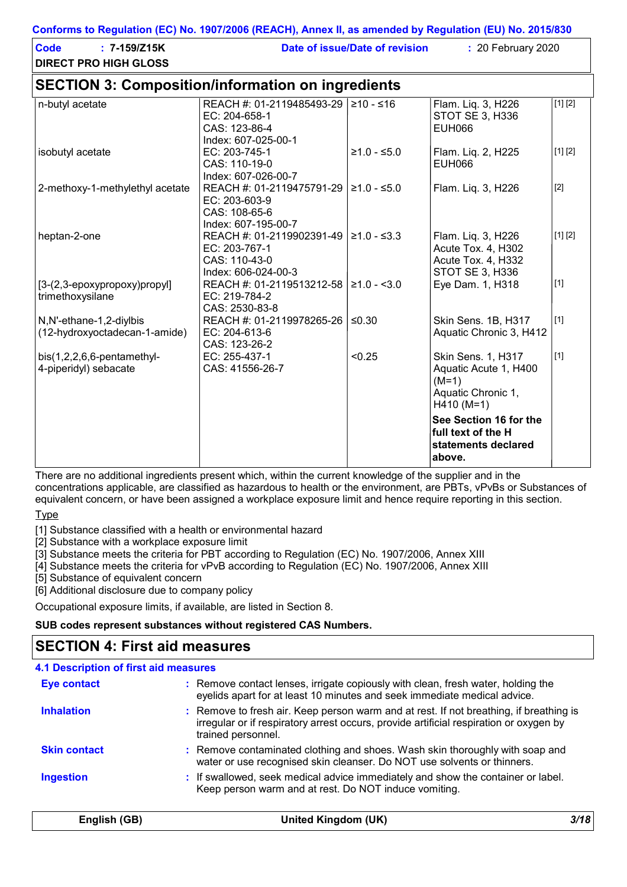#### **Conforms to Regulation (EC) No. 1907/2006 (REACH), Annex II, as amended by Regulation (EU) No. 2015/830**

| <b>Code</b><br>$: 7 - 159/Z15K$<br><b>DIRECT PRO HIGH GLOSS</b> |                                                                                                              | Date of issue/Date of revision | : 20 February 2020                                                                                  |             |
|-----------------------------------------------------------------|--------------------------------------------------------------------------------------------------------------|--------------------------------|-----------------------------------------------------------------------------------------------------|-------------|
| <b>SECTION 3: Composition/information on ingredients</b>        |                                                                                                              |                                |                                                                                                     |             |
| n-butyl acetate                                                 | REACH #: 01-2119485493-29<br>EC: 204-658-1<br>CAS: 123-86-4<br>Index: 607-025-00-1                           | 1≥10 - ≤16                     | Flam. Liq. 3, H226<br>STOT SE 3, H336<br>EUH066                                                     | [1] [2]     |
| isobutyl acetate                                                | EC: 203-745-1<br>CAS: 110-19-0<br>Index: 607-026-00-7                                                        | $≥1.0 - ≤5.0$                  | Flam. Liq. 2, H225<br><b>EUH066</b>                                                                 | [1] [2]     |
| 2-methoxy-1-methylethyl acetate                                 | REACH #: 01-2119475791-29   $\geq$ 1.0 - $\leq$ 5.0<br>EC: 203-603-9<br>CAS: 108-65-6<br>Index: 607-195-00-7 |                                | Flam. Liq. 3, H226                                                                                  | $[2]$       |
| heptan-2-one                                                    | REACH #: 01-2119902391-49   $\geq$ 1.0 - $\leq$ 3.3<br>EC: 203-767-1<br>CAS: 110-43-0<br>Index: 606-024-00-3 |                                | Flam. Liq. 3, H226<br>Acute Tox. 4, H302<br>Acute Tox. 4, H332<br>STOT SE 3, H336                   | [1] [2]     |
| $[3-(2,3-\epsilon p\alpha x) p\alpha y]$<br>trimethoxysilane    | REACH #: 01-2119513212-58   ≥1.0 - <3.0<br>EC: 219-784-2<br>CAS: 2530-83-8                                   |                                | Eye Dam. 1, H318                                                                                    | $[1]$       |
| N,N'-ethane-1,2-diylbis<br>(12-hydroxyoctadecan-1-amide)        | REACH #: 01-2119978265-26<br>EC: 204-613-6<br>CAS: 123-26-2                                                  | $≤0.30$                        | Skin Sens. 1B, H317<br>Aquatic Chronic 3, H412                                                      | $\vert$ [1] |
| $bis(1,2,2,6,6-pentament$<br>4-piperidyl) sebacate              | EC: 255-437-1<br>CAS: 41556-26-7                                                                             | < 0.25                         | <b>Skin Sens. 1, H317</b><br>Aquatic Acute 1, H400<br>$(M=1)$<br>Aquatic Chronic 1,<br>$H410 (M=1)$ | $\vert$ [1] |
|                                                                 |                                                                                                              |                                | See Section 16 for the<br>full text of the H<br>statements declared<br>above.                       |             |

There are no additional ingredients present which, within the current knowledge of the supplier and in the concentrations applicable, are classified as hazardous to health or the environment, are PBTs, vPvBs or Substances of equivalent concern, or have been assigned a workplace exposure limit and hence require reporting in this section.

**Type** 

[1] Substance classified with a health or environmental hazard

[2] Substance with a workplace exposure limit

[3] Substance meets the criteria for PBT according to Regulation (EC) No. 1907/2006, Annex XIII

[4] Substance meets the criteria for vPvB according to Regulation (EC) No. 1907/2006, Annex XIII

[5] Substance of equivalent concern

[6] Additional disclosure due to company policy

Occupational exposure limits, if available, are listed in Section 8.

#### **SUB codes represent substances without registered CAS Numbers.**

### **SECTION 4: First aid measures**

| <b>Skin contact</b><br><b>Ingestion</b> | trained personnel.<br>: Remove contaminated clothing and shoes. Wash skin thoroughly with soap and<br>water or use recognised skin cleanser. Do NOT use solvents or thinners.<br>: If swallowed, seek medical advice immediately and show the container or label.<br>Keep person warm and at rest. Do NOT induce vomiting. |
|-----------------------------------------|----------------------------------------------------------------------------------------------------------------------------------------------------------------------------------------------------------------------------------------------------------------------------------------------------------------------------|
|                                         |                                                                                                                                                                                                                                                                                                                            |
|                                         |                                                                                                                                                                                                                                                                                                                            |
| <b>Inhalation</b>                       | : Remove to fresh air. Keep person warm and at rest. If not breathing, if breathing is<br>irregular or if respiratory arrest occurs, provide artificial respiration or oxygen by                                                                                                                                           |
| <b>Eye contact</b>                      | : Remove contact lenses, irrigate copiously with clean, fresh water, holding the<br>eyelids apart for at least 10 minutes and seek immediate medical advice.                                                                                                                                                               |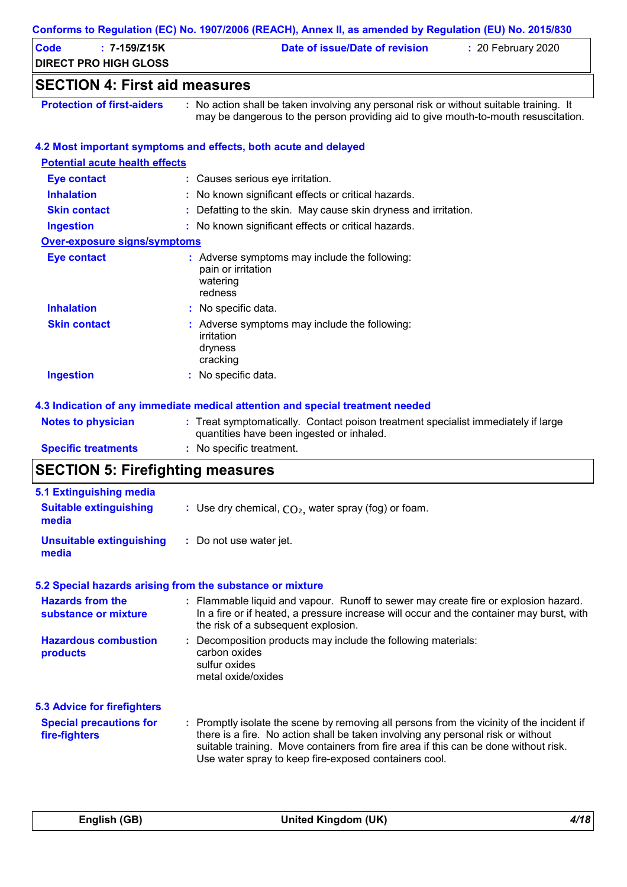| <b>Code</b><br>$: 7 - 159/Z15K$       | Date of issue/Date of revision<br>: 20 February 2020                                                                                                                          |
|---------------------------------------|-------------------------------------------------------------------------------------------------------------------------------------------------------------------------------|
| <b>DIRECT PRO HIGH GLOSS</b>          |                                                                                                                                                                               |
| <b>SECTION 4: First aid measures</b>  |                                                                                                                                                                               |
| <b>Protection of first-aiders</b>     | : No action shall be taken involving any personal risk or without suitable training. It<br>may be dangerous to the person providing aid to give mouth-to-mouth resuscitation. |
|                                       | 4.2 Most important symptoms and effects, both acute and delayed                                                                                                               |
| <b>Potential acute health effects</b> |                                                                                                                                                                               |
| <b>Eye contact</b>                    | : Causes serious eye irritation.                                                                                                                                              |
| <b>Inhalation</b>                     | : No known significant effects or critical hazards.                                                                                                                           |
| <b>Skin contact</b>                   | : Defatting to the skin. May cause skin dryness and irritation.                                                                                                               |
| <b>Ingestion</b>                      | : No known significant effects or critical hazards.                                                                                                                           |
| <b>Over-exposure signs/symptoms</b>   |                                                                                                                                                                               |
| <b>Eye contact</b>                    | : Adverse symptoms may include the following:<br>pain or irritation<br>watering<br>redness                                                                                    |
| <b>Inhalation</b>                     | : No specific data.                                                                                                                                                           |
| <b>Skin contact</b>                   | : Adverse symptoms may include the following:<br>irritation<br>dryness<br>cracking                                                                                            |
| <b>Ingestion</b>                      | : No specific data.                                                                                                                                                           |
|                                       | 4.3 Indication of any immediate medical attention and special treatment needed                                                                                                |
| <b>Notes to physician</b>             | : Treat symptomatically. Contact poison treatment specialist immediately if large<br>quantities have been ingested or inhaled.                                                |
| <b>Specific treatments</b>            | : No specific treatment.                                                                                                                                                      |

# **SECTION 5: Firefighting measures**

| 5.1 Extinguishing media                         |                                                                                                                                                                                                                                                                                                                               |
|-------------------------------------------------|-------------------------------------------------------------------------------------------------------------------------------------------------------------------------------------------------------------------------------------------------------------------------------------------------------------------------------|
| <b>Suitable extinguishing</b><br>media          | : Use dry chemical, $CO2$ , water spray (fog) or foam.                                                                                                                                                                                                                                                                        |
| <b>Unsuitable extinguishing</b><br>media        | : Do not use water jet.                                                                                                                                                                                                                                                                                                       |
|                                                 | 5.2 Special hazards arising from the substance or mixture                                                                                                                                                                                                                                                                     |
| <b>Hazards from the</b><br>substance or mixture | : Flammable liquid and vapour. Runoff to sewer may create fire or explosion hazard.<br>In a fire or if heated, a pressure increase will occur and the container may burst, with<br>the risk of a subsequent explosion.                                                                                                        |
| <b>Hazardous combustion</b><br>products         | : Decomposition products may include the following materials:<br>carbon oxides<br>sulfur oxides<br>metal oxide/oxides                                                                                                                                                                                                         |
| <b>5.3 Advice for firefighters</b>              |                                                                                                                                                                                                                                                                                                                               |
| <b>Special precautions for</b><br>fire-fighters | : Promptly isolate the scene by removing all persons from the vicinity of the incident if<br>there is a fire. No action shall be taken involving any personal risk or without<br>suitable training. Move containers from fire area if this can be done without risk.<br>Use water spray to keep fire-exposed containers cool. |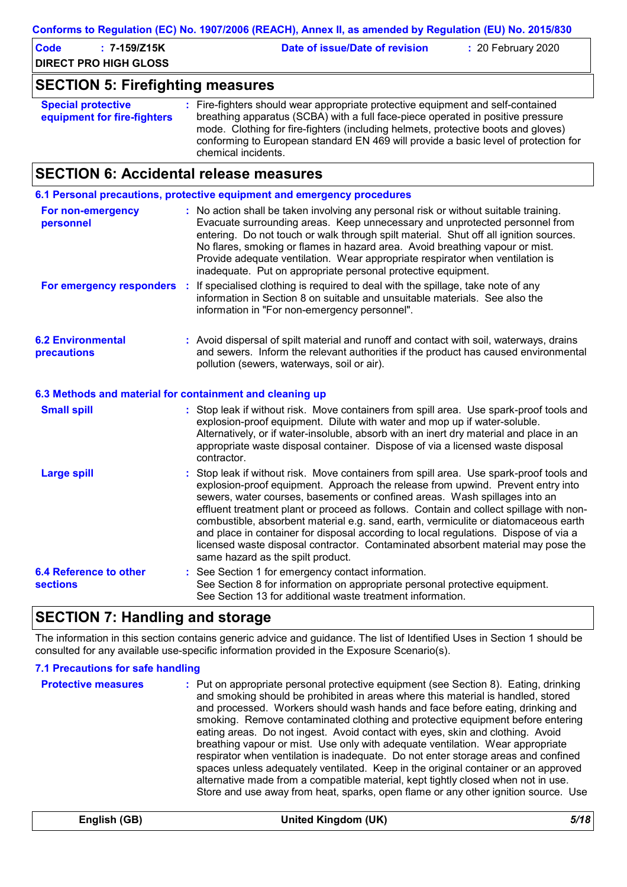| Code<br>: 7-159/Z15K<br><b>DIRECT PRO HIGH GLOSS</b> | Date of issue/Date of revision | $: 20$ February 2020 |
|------------------------------------------------------|--------------------------------|----------------------|
| <b>SECTION 5: Firefighting measures</b>              |                                |                      |

| <b>Special protective</b>   | : Fire-fighters should wear appropriate protective equipment and self-contained     |
|-----------------------------|-------------------------------------------------------------------------------------|
| equipment for fire-fighters | breathing apparatus (SCBA) with a full face-piece operated in positive pressure     |
|                             | mode. Clothing for fire-fighters (including helmets, protective boots and gloves)   |
|                             | conforming to European standard EN 469 will provide a basic level of protection for |
|                             | chemical incidents.                                                                 |

# **SECTION 6: Accidental release measures**

|                                                          | 6.1 Personal precautions, protective equipment and emergency procedures                                                                                                                                                                                                                                                                                                                                                                                                                                                                                                                                                                                  |
|----------------------------------------------------------|----------------------------------------------------------------------------------------------------------------------------------------------------------------------------------------------------------------------------------------------------------------------------------------------------------------------------------------------------------------------------------------------------------------------------------------------------------------------------------------------------------------------------------------------------------------------------------------------------------------------------------------------------------|
| For non-emergency<br>personnel                           | : No action shall be taken involving any personal risk or without suitable training.<br>Evacuate surrounding areas. Keep unnecessary and unprotected personnel from<br>entering. Do not touch or walk through spilt material. Shut off all ignition sources.<br>No flares, smoking or flames in hazard area. Avoid breathing vapour or mist.<br>Provide adequate ventilation. Wear appropriate respirator when ventilation is<br>inadequate. Put on appropriate personal protective equipment.                                                                                                                                                           |
| <b>For emergency responders :</b>                        | If specialised clothing is required to deal with the spillage, take note of any<br>information in Section 8 on suitable and unsuitable materials. See also the<br>information in "For non-emergency personnel".                                                                                                                                                                                                                                                                                                                                                                                                                                          |
| <b>6.2 Environmental</b><br>precautions                  | : Avoid dispersal of spilt material and runoff and contact with soil, waterways, drains<br>and sewers. Inform the relevant authorities if the product has caused environmental<br>pollution (sewers, waterways, soil or air).                                                                                                                                                                                                                                                                                                                                                                                                                            |
| 6.3 Methods and material for containment and cleaning up |                                                                                                                                                                                                                                                                                                                                                                                                                                                                                                                                                                                                                                                          |
| <b>Small spill</b>                                       | : Stop leak if without risk. Move containers from spill area. Use spark-proof tools and<br>explosion-proof equipment. Dilute with water and mop up if water-soluble.<br>Alternatively, or if water-insoluble, absorb with an inert dry material and place in an<br>appropriate waste disposal container. Dispose of via a licensed waste disposal<br>contractor.                                                                                                                                                                                                                                                                                         |
| <b>Large spill</b>                                       | Stop leak if without risk. Move containers from spill area. Use spark-proof tools and<br>explosion-proof equipment. Approach the release from upwind. Prevent entry into<br>sewers, water courses, basements or confined areas. Wash spillages into an<br>effluent treatment plant or proceed as follows. Contain and collect spillage with non-<br>combustible, absorbent material e.g. sand, earth, vermiculite or diatomaceous earth<br>and place in container for disposal according to local regulations. Dispose of via a<br>licensed waste disposal contractor. Contaminated absorbent material may pose the<br>same hazard as the spilt product. |
| 6.4 Reference to other<br><b>sections</b>                | : See Section 1 for emergency contact information.<br>See Section 8 for information on appropriate personal protective equipment.<br>See Section 13 for additional waste treatment information.                                                                                                                                                                                                                                                                                                                                                                                                                                                          |

# **SECTION 7: Handling and storage**

The information in this section contains generic advice and guidance. The list of Identified Uses in Section 1 should be consulted for any available use-specific information provided in the Exposure Scenario(s).

#### **7.1 Precautions for safe handling**

| <b>Protective measures</b> | : Put on appropriate personal protective equipment (see Section 8). Eating, drinking<br>and smoking should be prohibited in areas where this material is handled, stored<br>and processed. Workers should wash hands and face before eating, drinking and<br>smoking. Remove contaminated clothing and protective equipment before entering<br>eating areas. Do not ingest. Avoid contact with eyes, skin and clothing. Avoid<br>breathing vapour or mist. Use only with adequate ventilation. Wear appropriate<br>respirator when ventilation is inadequate. Do not enter storage areas and confined<br>spaces unless adequately ventilated. Keep in the original container or an approved<br>alternative made from a compatible material, kept tightly closed when not in use.<br>Store and use away from heat, sparks, open flame or any other ignition source. Use |
|----------------------------|------------------------------------------------------------------------------------------------------------------------------------------------------------------------------------------------------------------------------------------------------------------------------------------------------------------------------------------------------------------------------------------------------------------------------------------------------------------------------------------------------------------------------------------------------------------------------------------------------------------------------------------------------------------------------------------------------------------------------------------------------------------------------------------------------------------------------------------------------------------------|
|----------------------------|------------------------------------------------------------------------------------------------------------------------------------------------------------------------------------------------------------------------------------------------------------------------------------------------------------------------------------------------------------------------------------------------------------------------------------------------------------------------------------------------------------------------------------------------------------------------------------------------------------------------------------------------------------------------------------------------------------------------------------------------------------------------------------------------------------------------------------------------------------------------|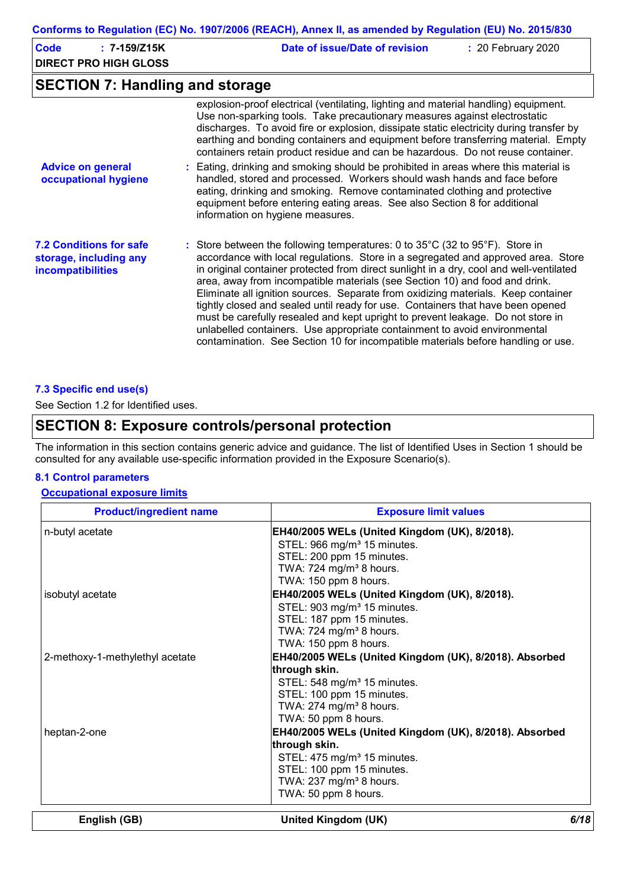| Conforms to Regulation (EC) No. 1907/2006 (REACH), Annex II, as amended by Regulation (EU) No. 2015/830 |                                                                                                                                                                                                                                                                                                                                                                                                                                                                                                                                                                                                                                                                                                                                                                         |  |  |  |  |
|---------------------------------------------------------------------------------------------------------|-------------------------------------------------------------------------------------------------------------------------------------------------------------------------------------------------------------------------------------------------------------------------------------------------------------------------------------------------------------------------------------------------------------------------------------------------------------------------------------------------------------------------------------------------------------------------------------------------------------------------------------------------------------------------------------------------------------------------------------------------------------------------|--|--|--|--|
| <b>Code</b><br>$: 7 - 159/Z15K$<br><b>DIRECT PRO HIGH GLOSS</b>                                         | Date of issue/Date of revision<br>: 20 February 2020                                                                                                                                                                                                                                                                                                                                                                                                                                                                                                                                                                                                                                                                                                                    |  |  |  |  |
| <b>SECTION 7: Handling and storage</b>                                                                  |                                                                                                                                                                                                                                                                                                                                                                                                                                                                                                                                                                                                                                                                                                                                                                         |  |  |  |  |
|                                                                                                         | explosion-proof electrical (ventilating, lighting and material handling) equipment.<br>Use non-sparking tools. Take precautionary measures against electrostatic<br>discharges. To avoid fire or explosion, dissipate static electricity during transfer by<br>earthing and bonding containers and equipment before transferring material. Empty<br>containers retain product residue and can be hazardous. Do not reuse container.                                                                                                                                                                                                                                                                                                                                     |  |  |  |  |
| <b>Advice on general</b><br>occupational hygiene                                                        | : Eating, drinking and smoking should be prohibited in areas where this material is<br>handled, stored and processed. Workers should wash hands and face before<br>eating, drinking and smoking. Remove contaminated clothing and protective<br>equipment before entering eating areas. See also Section 8 for additional<br>information on hygiene measures.                                                                                                                                                                                                                                                                                                                                                                                                           |  |  |  |  |
| <b>7.2 Conditions for safe</b><br>storage, including any<br>incompatibilities                           | : Store between the following temperatures: 0 to 35°C (32 to 95°F). Store in<br>accordance with local regulations. Store in a segregated and approved area. Store<br>in original container protected from direct sunlight in a dry, cool and well-ventilated<br>area, away from incompatible materials (see Section 10) and food and drink.<br>Eliminate all ignition sources. Separate from oxidizing materials. Keep container<br>tightly closed and sealed until ready for use. Containers that have been opened<br>must be carefully resealed and kept upright to prevent leakage. Do not store in<br>unlabelled containers. Use appropriate containment to avoid environmental<br>contamination. See Section 10 for incompatible materials before handling or use. |  |  |  |  |

#### **7.3 Specific end use(s)**

See Section 1.2 for Identified uses.

### **SECTION 8: Exposure controls/personal protection**

The information in this section contains generic advice and guidance. The list of Identified Uses in Section 1 should be consulted for any available use-specific information provided in the Exposure Scenario(s).

#### **8.1 Control parameters**

#### **Occupational exposure limits**

| <b>Product/ingredient name</b>  | <b>Exposure limit values</b>                                         |      |  |  |
|---------------------------------|----------------------------------------------------------------------|------|--|--|
| n-butyl acetate                 | EH40/2005 WELs (United Kingdom (UK), 8/2018).                        |      |  |  |
|                                 | STEL: 966 mg/m <sup>3</sup> 15 minutes.                              |      |  |  |
|                                 | STEL: 200 ppm 15 minutes.                                            |      |  |  |
|                                 | TWA: 724 mg/m <sup>3</sup> 8 hours.                                  |      |  |  |
|                                 | TWA: 150 ppm 8 hours.                                                |      |  |  |
| isobutyl acetate                | EH40/2005 WELs (United Kingdom (UK), 8/2018).                        |      |  |  |
|                                 | STEL: 903 mg/m <sup>3</sup> 15 minutes.                              |      |  |  |
|                                 | STEL: 187 ppm 15 minutes.                                            |      |  |  |
|                                 | TWA: 724 mg/m <sup>3</sup> 8 hours.<br>TWA: 150 ppm 8 hours.         |      |  |  |
|                                 |                                                                      |      |  |  |
| 2-methoxy-1-methylethyl acetate | EH40/2005 WELs (United Kingdom (UK), 8/2018). Absorbed               |      |  |  |
|                                 | through skin.                                                        |      |  |  |
|                                 | STEL: 548 mg/m <sup>3</sup> 15 minutes.<br>STEL: 100 ppm 15 minutes. |      |  |  |
|                                 | TWA: 274 mg/m <sup>3</sup> 8 hours.                                  |      |  |  |
|                                 | TWA: 50 ppm 8 hours.                                                 |      |  |  |
| heptan-2-one                    | EH40/2005 WELs (United Kingdom (UK), 8/2018). Absorbed               |      |  |  |
|                                 | through skin.                                                        |      |  |  |
|                                 | STEL: 475 mg/m <sup>3</sup> 15 minutes.                              |      |  |  |
|                                 | STEL: 100 ppm 15 minutes.                                            |      |  |  |
|                                 | TWA: 237 mg/m <sup>3</sup> 8 hours.                                  |      |  |  |
|                                 | TWA: 50 ppm 8 hours.                                                 |      |  |  |
| English (GB)                    | United Kingdom (UK)                                                  | 6/18 |  |  |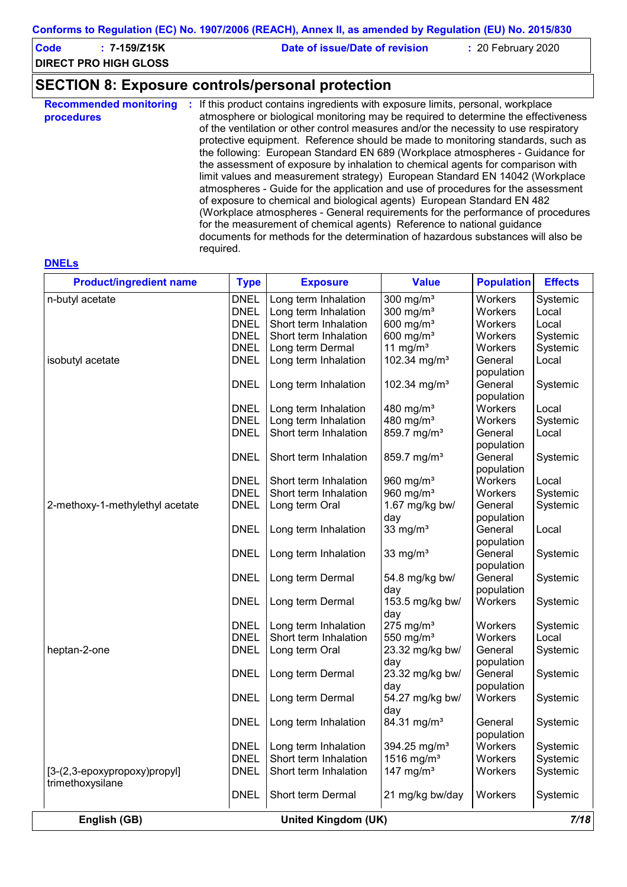| Code<br>7-159/Z15K           | Date of issue/Date of revision | : 20 February 2020 |  |
|------------------------------|--------------------------------|--------------------|--|
| <b>DIRECT PRO HIGH GLOSS</b> |                                |                    |  |

# **SECTION 8: Exposure controls/personal protection**

| the following: European Standard EN 689 (Workplace atmospheres - Guidance for<br>the assessment of exposure by inhalation to chemical agents for comparison with<br>limit values and measurement strategy) European Standard EN 14042 (Workplace<br>atmospheres - Guide for the application and use of procedures for the assessment<br>of exposure to chemical and biological agents) European Standard EN 482<br>(Workplace atmospheres - General requirements for the performance of procedures<br>for the measurement of chemical agents) Reference to national guidance<br>documents for methods for the determination of hazardous substances will also be<br>required. | <b>Recommended monitoring</b><br>procedures | If this product contains ingredients with exposure limits, personal, workplace<br>atmosphere or biological monitoring may be required to determine the effectiveness<br>of the ventilation or other control measures and/or the necessity to use respiratory<br>protective equipment. Reference should be made to monitoring standards, such as |
|-------------------------------------------------------------------------------------------------------------------------------------------------------------------------------------------------------------------------------------------------------------------------------------------------------------------------------------------------------------------------------------------------------------------------------------------------------------------------------------------------------------------------------------------------------------------------------------------------------------------------------------------------------------------------------|---------------------------------------------|-------------------------------------------------------------------------------------------------------------------------------------------------------------------------------------------------------------------------------------------------------------------------------------------------------------------------------------------------|
|-------------------------------------------------------------------------------------------------------------------------------------------------------------------------------------------------------------------------------------------------------------------------------------------------------------------------------------------------------------------------------------------------------------------------------------------------------------------------------------------------------------------------------------------------------------------------------------------------------------------------------------------------------------------------------|---------------------------------------------|-------------------------------------------------------------------------------------------------------------------------------------------------------------------------------------------------------------------------------------------------------------------------------------------------------------------------------------------------|

| <b>Product/ingredient name</b>                   | <b>Type</b>                | <b>Exposure</b>                            | <b>Value</b>                    | <b>Population</b>     | <b>Effects</b>       |
|--------------------------------------------------|----------------------------|--------------------------------------------|---------------------------------|-----------------------|----------------------|
| n-butyl acetate                                  | <b>DNEL</b>                | Long term Inhalation                       | 300 mg/ $m3$                    | Workers               | Systemic             |
|                                                  | <b>DNEL</b>                | Long term Inhalation                       | 300 mg/ $m3$                    | Workers               | Local                |
|                                                  | <b>DNEL</b>                | Short term Inhalation                      | 600 mg/m <sup>3</sup>           | Workers               | Local                |
|                                                  | <b>DNEL</b>                | Short term Inhalation                      | 600 mg/m <sup>3</sup>           | Workers               | Systemic             |
|                                                  | <b>DNEL</b>                | Long term Dermal                           | 11 mg/m $3$                     | Workers               | Systemic             |
| isobutyl acetate                                 | <b>DNEL</b>                | Long term Inhalation                       | 102.34 mg/m <sup>3</sup>        | General<br>population | Local                |
|                                                  | <b>DNEL</b>                | Long term Inhalation                       | 102.34 mg/m <sup>3</sup>        | General<br>population | Systemic             |
|                                                  | <b>DNEL</b>                | Long term Inhalation                       | 480 mg/m <sup>3</sup>           | Workers               | Local                |
|                                                  | <b>DNEL</b>                | Long term Inhalation                       | 480 mg/m <sup>3</sup>           | Workers               | Systemic             |
|                                                  | <b>DNEL</b>                | Short term Inhalation                      | 859.7 mg/m <sup>3</sup>         | General               | Local                |
|                                                  |                            |                                            |                                 | population            |                      |
|                                                  | <b>DNEL</b>                | Short term Inhalation                      | 859.7 mg/m <sup>3</sup>         | General               |                      |
|                                                  |                            |                                            |                                 |                       | Systemic             |
|                                                  |                            |                                            |                                 | population            |                      |
|                                                  | <b>DNEL</b>                | Short term Inhalation                      | 960 mg/m $3$                    | Workers               | Local                |
|                                                  | <b>DNEL</b>                | Short term Inhalation                      | 960 mg/m <sup>3</sup>           | Workers               | Systemic             |
| 2-methoxy-1-methylethyl acetate                  | <b>DNEL</b>                | Long term Oral                             | 1.67 mg/kg bw/                  | General               | Systemic             |
|                                                  |                            |                                            | day                             | population            |                      |
|                                                  | <b>DNEL</b>                | Long term Inhalation                       | 33 mg/ $m3$                     | General               | Local                |
|                                                  |                            |                                            |                                 | population            |                      |
|                                                  | <b>DNEL</b>                | Long term Inhalation                       | 33 mg/ $m3$                     | General<br>population | Systemic             |
|                                                  | <b>DNEL</b>                | Long term Dermal                           | 54.8 mg/kg bw/<br>day           | General<br>population | Systemic             |
|                                                  | <b>DNEL</b>                | Long term Dermal                           | 153.5 mg/kg bw/<br>day          | Workers               | Systemic             |
|                                                  | <b>DNEL</b>                | Long term Inhalation                       | $275$ mg/m <sup>3</sup>         | Workers               | Systemic             |
|                                                  | <b>DNEL</b>                | Short term Inhalation                      | 550 mg/m <sup>3</sup>           | Workers               | Local                |
| heptan-2-one                                     | <b>DNEL</b>                | Long term Oral                             | 23.32 mg/kg bw/<br>day          | General<br>population | Systemic             |
|                                                  | <b>DNEL</b>                | Long term Dermal                           | 23.32 mg/kg bw/<br>day          | General<br>population | Systemic             |
|                                                  | <b>DNEL</b>                | Long term Dermal                           | 54.27 mg/kg bw/<br>day          | Workers               | Systemic             |
|                                                  | <b>DNEL</b>                | Long term Inhalation                       | 84.31 mg/m <sup>3</sup>         | General<br>population | Systemic             |
|                                                  | <b>DNEL</b>                | Long term Inhalation                       | 394.25 mg/m <sup>3</sup>        | Workers               | Systemic             |
|                                                  | <b>DNEL</b>                | Short term Inhalation                      | $1516$ mg/m <sup>3</sup>        | Workers               |                      |
|                                                  |                            |                                            |                                 |                       | Systemic             |
| [3-(2,3-epoxypropoxy)propyl]<br>trimethoxysilane | <b>DNEL</b><br><b>DNEL</b> | Short term Inhalation<br>Short term Dermal | 147 mg/m $3$<br>21 mg/kg bw/day | Workers<br>Workers    | Systemic<br>Systemic |
|                                                  |                            |                                            |                                 |                       |                      |

#### **DNELs**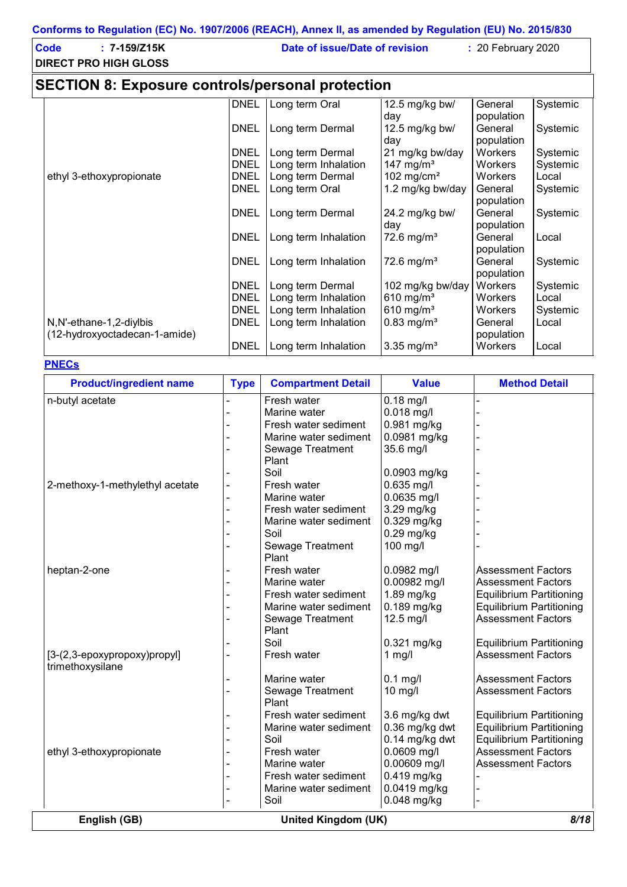| Code<br>$: 7 - 159/Z15K$<br><b>DIRECT PRO HIGH GLOSS</b> | Date of issue/Date of revision | $\div$ 20 February 2020 |
|----------------------------------------------------------|--------------------------------|-------------------------|
| <b>SECTION 8: Exposure controls/personal protection</b>  |                                |                         |

|                               | <b>DNEL</b> | Long term Oral       | 12.5 mg/kg bw/           | General    | Systemic |  |
|-------------------------------|-------------|----------------------|--------------------------|------------|----------|--|
|                               |             |                      | day                      | population |          |  |
|                               | <b>DNEL</b> | Long term Dermal     | 12.5 mg/kg bw/           | General    | Systemic |  |
|                               |             |                      | day                      | population |          |  |
|                               | <b>DNEL</b> | Long term Dermal     | 21 mg/kg bw/day          | Workers    | Systemic |  |
|                               | <b>DNEL</b> | Long term Inhalation | 147 mg/m <sup>3</sup>    | Workers    | Systemic |  |
| ethyl 3-ethoxypropionate      | <b>DNEL</b> | Long term Dermal     | 102 mg/cm <sup>2</sup>   | Workers    | Local    |  |
|                               | <b>DNEL</b> | Long term Oral       | 1.2 mg/kg bw/day         | General    | Systemic |  |
|                               |             |                      |                          | population |          |  |
|                               | <b>DNEL</b> | Long term Dermal     | 24.2 mg/kg bw/           | General    | Systemic |  |
|                               |             |                      | day                      | population |          |  |
|                               | <b>DNEL</b> | Long term Inhalation | $72.6$ mg/m <sup>3</sup> | General    | Local    |  |
|                               |             |                      |                          | population |          |  |
|                               | <b>DNEL</b> | Long term Inhalation | 72.6 mg/m <sup>3</sup>   | General    | Systemic |  |
|                               |             |                      |                          | population |          |  |
|                               | <b>DNEL</b> | Long term Dermal     | 102 mg/kg bw/day         | Workers    | Systemic |  |
|                               | <b>DNEL</b> | Long term Inhalation | 610 mg/m <sup>3</sup>    | Workers    | Local    |  |
|                               | <b>DNEL</b> | Long term Inhalation | $610$ mg/m <sup>3</sup>  | Workers    | Systemic |  |
| N,N'-ethane-1,2-diylbis       | <b>DNEL</b> | Long term Inhalation | $0.83$ mg/m <sup>3</sup> | General    | Local    |  |
| (12-hydroxyoctadecan-1-amide) |             |                      |                          | population |          |  |
|                               | <b>DNEL</b> | Long term Inhalation | 3.35 mg/m <sup>3</sup>   | Workers    | Local    |  |
|                               |             |                      |                          |            |          |  |

#### **PNECs**

| <b>Product/ingredient name</b>  | <b>Type</b> | <b>Compartment Detail</b>  | <b>Value</b>   | <b>Method Detail</b>            |
|---------------------------------|-------------|----------------------------|----------------|---------------------------------|
| n-butyl acetate                 |             | Fresh water                | $0.18$ mg/l    |                                 |
|                                 |             | Marine water               | $0.018$ mg/l   |                                 |
|                                 |             | Fresh water sediment       | 0.981 mg/kg    |                                 |
|                                 |             | Marine water sediment      | 0.0981 mg/kg   |                                 |
|                                 |             | Sewage Treatment           | 35.6 mg/l      |                                 |
|                                 |             | Plant                      |                |                                 |
|                                 |             | Soil                       | 0.0903 mg/kg   |                                 |
| 2-methoxy-1-methylethyl acetate |             | Fresh water                | $0.635$ mg/l   |                                 |
|                                 |             | Marine water               | 0.0635 mg/l    |                                 |
|                                 |             | Fresh water sediment       | 3.29 mg/kg     |                                 |
|                                 |             | Marine water sediment      | 0.329 mg/kg    |                                 |
|                                 |             | Soil                       | $0.29$ mg/kg   |                                 |
|                                 |             | Sewage Treatment           | 100 mg/l       |                                 |
|                                 |             | Plant                      |                |                                 |
| heptan-2-one                    |             | Fresh water                | 0.0982 mg/l    | <b>Assessment Factors</b>       |
|                                 |             | Marine water               | 0.00982 mg/l   | <b>Assessment Factors</b>       |
|                                 |             | Fresh water sediment       | 1.89 mg/kg     | <b>Equilibrium Partitioning</b> |
|                                 |             | Marine water sediment      | 0.189 mg/kg    | <b>Equilibrium Partitioning</b> |
|                                 |             | Sewage Treatment           | 12.5 mg/l      | <b>Assessment Factors</b>       |
|                                 |             | Plant                      |                |                                 |
|                                 |             | Soil                       | $0.321$ mg/kg  | <b>Equilibrium Partitioning</b> |
| [3-(2,3-epoxypropoxy)propyl]    |             | Fresh water                | $1$ mg/l       | <b>Assessment Factors</b>       |
| trimethoxysilane                |             |                            |                |                                 |
|                                 |             | Marine water               | $0.1$ mg/l     | <b>Assessment Factors</b>       |
|                                 |             | Sewage Treatment           | 10 mg/l        | <b>Assessment Factors</b>       |
|                                 |             | Plant                      |                |                                 |
|                                 |             | Fresh water sediment       | 3.6 mg/kg dwt  | <b>Equilibrium Partitioning</b> |
|                                 |             | Marine water sediment      | 0.36 mg/kg dwt | <b>Equilibrium Partitioning</b> |
|                                 |             | Soil                       | 0.14 mg/kg dwt | <b>Equilibrium Partitioning</b> |
| ethyl 3-ethoxypropionate        |             | Fresh water                | 0.0609 mg/l    | <b>Assessment Factors</b>       |
|                                 |             | Marine water               | 0.00609 mg/l   | <b>Assessment Factors</b>       |
|                                 |             | Fresh water sediment       | $0.419$ mg/kg  |                                 |
|                                 |             | Marine water sediment      | 0.0419 mg/kg   |                                 |
|                                 |             | Soil                       | $0.048$ mg/kg  |                                 |
|                                 |             |                            |                |                                 |
| English (GB)                    |             | <b>United Kingdom (UK)</b> |                | 8/18                            |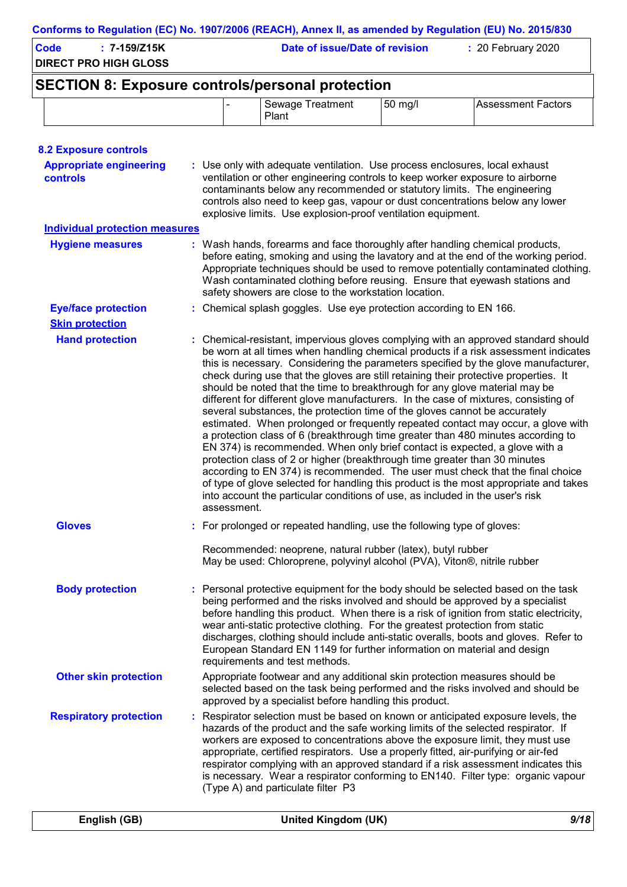| <b>DIRECT PRO HIGH GLOSS</b>                            | Date of issue/Date of revision<br>: 20 February 2020 |                                                                                                                                                                                                                                                                                                                          |           |                                                                                                                                                                                                                                                                                                                                                                                                                                                                                                                                                                                                                                                                                                                                                                                                                                                                                  |
|---------------------------------------------------------|------------------------------------------------------|--------------------------------------------------------------------------------------------------------------------------------------------------------------------------------------------------------------------------------------------------------------------------------------------------------------------------|-----------|----------------------------------------------------------------------------------------------------------------------------------------------------------------------------------------------------------------------------------------------------------------------------------------------------------------------------------------------------------------------------------------------------------------------------------------------------------------------------------------------------------------------------------------------------------------------------------------------------------------------------------------------------------------------------------------------------------------------------------------------------------------------------------------------------------------------------------------------------------------------------------|
| <b>SECTION 8: Exposure controls/personal protection</b> |                                                      |                                                                                                                                                                                                                                                                                                                          |           |                                                                                                                                                                                                                                                                                                                                                                                                                                                                                                                                                                                                                                                                                                                                                                                                                                                                                  |
|                                                         |                                                      | Sewage Treatment<br>Plant                                                                                                                                                                                                                                                                                                | $50$ mg/l | <b>Assessment Factors</b>                                                                                                                                                                                                                                                                                                                                                                                                                                                                                                                                                                                                                                                                                                                                                                                                                                                        |
| <b>8.2 Exposure controls</b>                            |                                                      |                                                                                                                                                                                                                                                                                                                          |           |                                                                                                                                                                                                                                                                                                                                                                                                                                                                                                                                                                                                                                                                                                                                                                                                                                                                                  |
| <b>Appropriate engineering</b><br>controls              |                                                      | : Use only with adequate ventilation. Use process enclosures, local exhaust<br>ventilation or other engineering controls to keep worker exposure to airborne<br>contaminants below any recommended or statutory limits. The engineering<br>explosive limits. Use explosion-proof ventilation equipment.                  |           | controls also need to keep gas, vapour or dust concentrations below any lower                                                                                                                                                                                                                                                                                                                                                                                                                                                                                                                                                                                                                                                                                                                                                                                                    |
| <b>Individual protection measures</b>                   |                                                      |                                                                                                                                                                                                                                                                                                                          |           |                                                                                                                                                                                                                                                                                                                                                                                                                                                                                                                                                                                                                                                                                                                                                                                                                                                                                  |
| <b>Hygiene measures</b>                                 |                                                      | safety showers are close to the workstation location.                                                                                                                                                                                                                                                                    |           | : Wash hands, forearms and face thoroughly after handling chemical products,<br>before eating, smoking and using the lavatory and at the end of the working period.<br>Appropriate techniques should be used to remove potentially contaminated clothing.<br>Wash contaminated clothing before reusing. Ensure that eyewash stations and                                                                                                                                                                                                                                                                                                                                                                                                                                                                                                                                         |
| <b>Eye/face protection</b>                              |                                                      | : Chemical splash goggles. Use eye protection according to EN 166.                                                                                                                                                                                                                                                       |           |                                                                                                                                                                                                                                                                                                                                                                                                                                                                                                                                                                                                                                                                                                                                                                                                                                                                                  |
| <b>Skin protection</b>                                  |                                                      |                                                                                                                                                                                                                                                                                                                          |           |                                                                                                                                                                                                                                                                                                                                                                                                                                                                                                                                                                                                                                                                                                                                                                                                                                                                                  |
| <b>Hand protection</b>                                  | assessment.                                          | should be noted that the time to breakthrough for any glove material may be<br>several substances, the protection time of the gloves cannot be accurately<br>protection class of 2 or higher (breakthrough time greater than 30 minutes<br>into account the particular conditions of use, as included in the user's risk |           | : Chemical-resistant, impervious gloves complying with an approved standard should<br>be worn at all times when handling chemical products if a risk assessment indicates<br>this is necessary. Considering the parameters specified by the glove manufacturer,<br>check during use that the gloves are still retaining their protective properties. It<br>different for different glove manufacturers. In the case of mixtures, consisting of<br>estimated. When prolonged or frequently repeated contact may occur, a glove with<br>a protection class of 6 (breakthrough time greater than 480 minutes according to<br>EN 374) is recommended. When only brief contact is expected, a glove with a<br>according to EN 374) is recommended. The user must check that the final choice<br>of type of glove selected for handling this product is the most appropriate and takes |
| <b>Gloves</b>                                           |                                                      | : For prolonged or repeated handling, use the following type of gloves:                                                                                                                                                                                                                                                  |           |                                                                                                                                                                                                                                                                                                                                                                                                                                                                                                                                                                                                                                                                                                                                                                                                                                                                                  |
|                                                         |                                                      | Recommended: neoprene, natural rubber (latex), butyl rubber<br>May be used: Chloroprene, polyvinyl alcohol (PVA), Viton®, nitrile rubber                                                                                                                                                                                 |           |                                                                                                                                                                                                                                                                                                                                                                                                                                                                                                                                                                                                                                                                                                                                                                                                                                                                                  |

- Personal protective equipment for the body should be selected based on the task **:** being performed and the risks involved and should be approved by a specialist before handling this product. When there is a risk of ignition from static electricity, wear anti-static protective clothing. For the greatest protection from static discharges, clothing should include anti-static overalls, boots and gloves. Refer to European Standard EN 1149 for further information on material and design requirements and test methods. **Body protection Other skin protection** Appropriate footwear and any additional skin protection measures should be selected based on the task being performed and the risks involved and should be
- Respirator selection must be based on known or anticipated exposure levels, the hazards of the product and the safe working limits of the selected respirator. If workers are exposed to concentrations above the exposure limit, they must use appropriate, certified respirators. Use a properly fitted, air-purifying or air-fed respirator complying with an approved standard if a risk assessment indicates this is necessary. Wear a respirator conforming to EN140. Filter type: organic vapour (Type A) and particulate filter P3 **Respiratory protection :** approved by a specialist before handling this product.

| English (GB) | United Kingdom (UK) | 9/18 |
|--------------|---------------------|------|
|              |                     |      |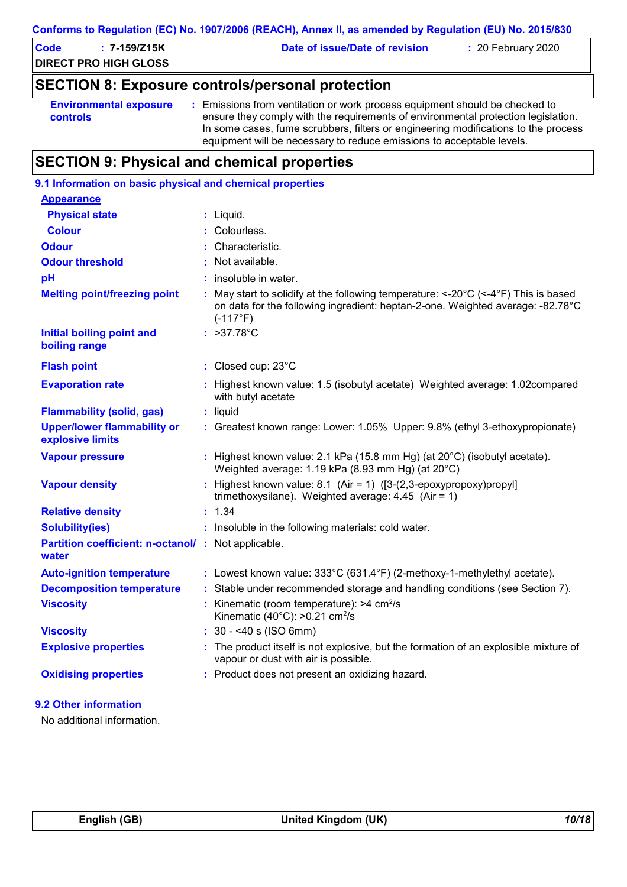#### **Conforms to Regulation (EC) No. 1907/2006 (REACH), Annex II, as amended by Regulation (EU) No. 2015/830**

| Code | 7-159/Z15K                   | Date of issue/Date of revision | $: 20$ February 2020 |  |
|------|------------------------------|--------------------------------|----------------------|--|
|      | <b>DIRECT PRO HIGH GLOSS</b> |                                |                      |  |

# **SECTION 8: Exposure controls/personal protection**

```
Environmental exposure 
controls
                              : Emissions from ventilation or work process equipment should be checked to 
                                ensure they comply with the requirements of environmental protection legislation.
                                In some cases, fume scrubbers, filters or engineering modifications to the process 
                                equipment will be necessary to reduce emissions to acceptable levels.
```
# **SECTION 9: Physical and chemical properties**

| 9.1 Information on basic physical and chemical properties    |                                                                                                                                                                                                                   |
|--------------------------------------------------------------|-------------------------------------------------------------------------------------------------------------------------------------------------------------------------------------------------------------------|
| <b>Appearance</b>                                            |                                                                                                                                                                                                                   |
| <b>Physical state</b>                                        | $:$ Liquid.                                                                                                                                                                                                       |
| <b>Colour</b>                                                | Colourless.                                                                                                                                                                                                       |
| <b>Odour</b>                                                 | Characteristic.                                                                                                                                                                                                   |
| <b>Odour threshold</b>                                       | Not available.                                                                                                                                                                                                    |
| pH                                                           | insoluble in water.                                                                                                                                                                                               |
| <b>Melting point/freezing point</b>                          | : May start to solidify at the following temperature: $\lt$ -20 $\degree$ C ( $\lt$ -4 $\degree$ F) This is based<br>on data for the following ingredient: heptan-2-one. Weighted average: -82.78°C<br>$(-117°F)$ |
| <b>Initial boiling point and</b><br>boiling range            | : $>37.78^{\circ}C$                                                                                                                                                                                               |
| <b>Flash point</b>                                           | : Closed cup: 23°C                                                                                                                                                                                                |
| <b>Evaporation rate</b>                                      | Highest known value: 1.5 (isobutyl acetate) Weighted average: 1.02compared<br>with butyl acetate                                                                                                                  |
| <b>Flammability (solid, gas)</b>                             | : liquid                                                                                                                                                                                                          |
| <b>Upper/lower flammability or</b><br>explosive limits       | : Greatest known range: Lower: 1.05% Upper: 9.8% (ethyl 3-ethoxypropionate)                                                                                                                                       |
| <b>Vapour pressure</b>                                       | Highest known value: 2.1 kPa (15.8 mm Hg) (at 20°C) (isobutyl acetate).<br>Weighted average: 1.19 kPa (8.93 mm Hg) (at 20°C)                                                                                      |
| <b>Vapour density</b>                                        | : Highest known value: 8.1 (Air = 1) ( $[3-(2,3-\epsilon p)$ epoxypropoxy) propyl<br>trimethoxysilane). Weighted average: $4.45$ (Air = 1)                                                                        |
| <b>Relative density</b>                                      | : 1.34                                                                                                                                                                                                            |
| <b>Solubility(ies)</b>                                       | : Insoluble in the following materials: cold water.                                                                                                                                                               |
| Partition coefficient: n-octanol/ : Not applicable.<br>water |                                                                                                                                                                                                                   |
| <b>Auto-ignition temperature</b>                             | : Lowest known value: 333°C (631.4°F) (2-methoxy-1-methylethyl acetate).                                                                                                                                          |
| <b>Decomposition temperature</b>                             | : Stable under recommended storage and handling conditions (see Section 7).                                                                                                                                       |
| <b>Viscosity</b>                                             | Kinematic (room temperature): $>4$ cm <sup>2</sup> /s<br>Kinematic (40 $^{\circ}$ C): >0.21 cm <sup>2</sup> /s                                                                                                    |
| <b>Viscosity</b>                                             | $: 30 - 40$ s (ISO 6mm)                                                                                                                                                                                           |
| <b>Explosive properties</b>                                  | The product itself is not explosive, but the formation of an explosible mixture of<br>vapour or dust with air is possible.                                                                                        |
| <b>Oxidising properties</b>                                  | : Product does not present an oxidizing hazard.                                                                                                                                                                   |
| 9.2 Other information                                        |                                                                                                                                                                                                                   |

No additional information.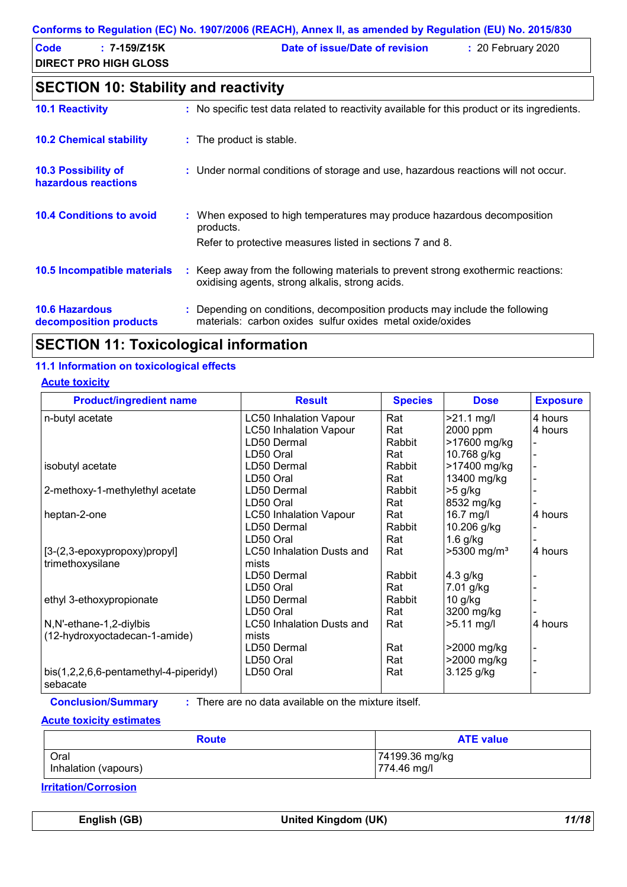#### **Conforms to Regulation (EC) No. 1907/2006 (REACH), Annex II, as amended by Regulation (EU) No. 2015/830**

| <b>Code</b><br>$: 7 - 159/Z15K$<br><b>DIRECT PRO HIGH GLOSS</b> | Date of issue/Date of revision | $: 20$ February 2020 |
|-----------------------------------------------------------------|--------------------------------|----------------------|
| <b>SECTION 10: Stability and reactivity</b>                     |                                |                      |

| <b>10.1 Reactivity</b>                            | : No specific test data related to reactivity available for this product or its ingredients.                                                     |
|---------------------------------------------------|--------------------------------------------------------------------------------------------------------------------------------------------------|
| <b>10.2 Chemical stability</b>                    | : The product is stable.                                                                                                                         |
| <b>10.3 Possibility of</b><br>hazardous reactions | : Under normal conditions of storage and use, hazardous reactions will not occur.                                                                |
| <b>10.4 Conditions to avoid</b>                   | : When exposed to high temperatures may produce hazardous decomposition<br>products.<br>Refer to protective measures listed in sections 7 and 8. |
| 10.5 Incompatible materials                       | : Keep away from the following materials to prevent strong exothermic reactions:<br>oxidising agents, strong alkalis, strong acids.              |
| <b>10.6 Hazardous</b><br>decomposition products   | : Depending on conditions, decomposition products may include the following<br>materials: carbon oxides sulfur oxides metal oxide/oxides         |

# **SECTION 11: Toxicological information**

### **11.1 Information on toxicological effects**

#### **Acute toxicity**

| <b>Product/ingredient name</b>                      | <b>Result</b>                    | <b>Species</b> | <b>Dose</b>               | <b>Exposure</b> |
|-----------------------------------------------------|----------------------------------|----------------|---------------------------|-----------------|
| n-butyl acetate                                     | <b>LC50 Inhalation Vapour</b>    | Rat            | $>21.1$ mg/l              | 4 hours         |
|                                                     | <b>LC50 Inhalation Vapour</b>    | Rat            | 2000 ppm                  | 4 hours         |
|                                                     | LD50 Dermal                      | Rabbit         | >17600 mg/kg              |                 |
|                                                     | LD50 Oral                        | Rat            | 10.768 g/kg               |                 |
| isobutyl acetate                                    | LD50 Dermal                      | Rabbit         | >17400 mg/kg              |                 |
|                                                     | LD50 Oral                        | Rat            | 13400 mg/kg               |                 |
| 2-methoxy-1-methylethyl acetate                     | LD50 Dermal                      | Rabbit         | $>5$ g/kg                 |                 |
|                                                     | LD50 Oral                        | Rat            | 8532 mg/kg                |                 |
| heptan-2-one                                        | <b>LC50 Inhalation Vapour</b>    | Rat            | 16.7 mg/l                 | 4 hours         |
|                                                     | LD50 Dermal                      | Rabbit         | 10.206 g/kg               |                 |
|                                                     | LD50 Oral                        | Rat            | $1.6$ g/kg                |                 |
| [3-(2,3-epoxypropoxy)propyl]                        | <b>LC50 Inhalation Dusts and</b> | Rat            | $>5300$ mg/m <sup>3</sup> | 4 hours         |
| trimethoxysilane                                    | mists                            |                |                           |                 |
|                                                     | LD50 Dermal                      | Rabbit         | 4.3 g/kg                  |                 |
|                                                     | LD50 Oral                        | Rat            | 7.01 g/kg                 |                 |
| ethyl 3-ethoxypropionate                            | LD50 Dermal                      | Rabbit         | $10$ g/kg                 |                 |
|                                                     | LD50 Oral                        | Rat            | 3200 mg/kg                |                 |
| N,N'-ethane-1,2-diylbis                             | <b>LC50 Inhalation Dusts and</b> | Rat            | $>5.11$ mg/l              | 4 hours         |
| (12-hydroxyoctadecan-1-amide)                       | mists                            |                |                           |                 |
|                                                     | LD50 Dermal                      | Rat            | >2000 mg/kg               |                 |
|                                                     | LD50 Oral                        | Rat            | >2000 mg/kg               |                 |
| $bis(1,2,2,6,6-pentamethyl-4-piperidy)$<br>sebacate | LD50 Oral                        | Rat            | 3.125 g/kg                |                 |

**Conclusion/Summary :**

: There are no data available on the mixture itself.

#### **Acute toxicity estimates**

| <b>Route</b>         | <b>ATE value</b> |  |
|----------------------|------------------|--|
| Oral                 | 74199.36 mg/kg   |  |
| Inhalation (vapours) | 774.46 mg/l      |  |

**Irritation/Corrosion**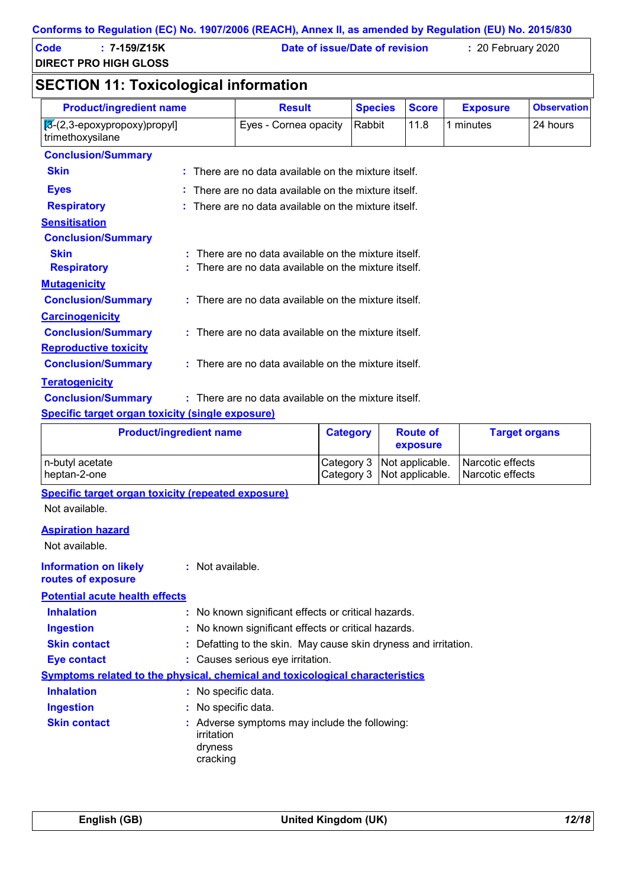| <b>Code</b> | $: 7 - 159/Z15K$             | Date of issue/Date of revision | : 20 Fe |
|-------------|------------------------------|--------------------------------|---------|
|             | <b>DIRECT PRO HIGH GLOSS</b> |                                |         |

**Code : 7-159/Z15K Date of issue/Date of revision :** 20 February 2020

# **SECTION 11: Toxicological information**

| <b>Product/ingredient name</b>                                           | <b>Result</b>                                                   | <b>Species</b> | <b>Score</b> | <b>Exposure</b> | <b>Observation</b> |
|--------------------------------------------------------------------------|-----------------------------------------------------------------|----------------|--------------|-----------------|--------------------|
| $[3-(2,3-\epsilon p\alpha x) p\alpha y]$ (2,3-epoxy)<br>trimethoxysilane | Eyes - Cornea opacity                                           | Rabbit         | 11.8         | 1 minutes       | 24 hours           |
| <b>Conclusion/Summary</b>                                                |                                                                 |                |              |                 |                    |
| <b>Skin</b>                                                              | : There are no data available on the mixture itself.            |                |              |                 |                    |
| <b>Eyes</b>                                                              | There are no data available on the mixture itself.              |                |              |                 |                    |
| <b>Respiratory</b>                                                       | $\therefore$ There are no data available on the mixture itself. |                |              |                 |                    |
| <b>Sensitisation</b>                                                     |                                                                 |                |              |                 |                    |
| <b>Conclusion/Summary</b>                                                |                                                                 |                |              |                 |                    |
| <b>Skin</b>                                                              | $:$ There are no data available on the mixture itself.          |                |              |                 |                    |
| <b>Respiratory</b>                                                       | $:$ There are no data available on the mixture itself.          |                |              |                 |                    |
| <b>Mutagenicity</b>                                                      |                                                                 |                |              |                 |                    |
| <b>Conclusion/Summary</b>                                                | : There are no data available on the mixture itself.            |                |              |                 |                    |
| <b>Carcinogenicity</b>                                                   |                                                                 |                |              |                 |                    |
| <b>Conclusion/Summary</b>                                                | : There are no data available on the mixture itself.            |                |              |                 |                    |
| <b>Reproductive toxicity</b>                                             |                                                                 |                |              |                 |                    |
| <b>Conclusion/Summary</b>                                                | : There are no data available on the mixture itself.            |                |              |                 |                    |
| <b>Teratogenicity</b>                                                    |                                                                 |                |              |                 |                    |
| <b>Conclusion/Summary</b>                                                | : There are no data available on the mixture itself.            |                |              |                 |                    |
| Cassifie tennet engen teuleitu leinale euseeuna).                        |                                                                 |                |              |                 |                    |

#### **Specific target organ toxicity (single exposure)**

| <b>Product/ingredient name</b> | Category | <b>Route of</b><br>exposure  | <b>Target organs</b> |
|--------------------------------|----------|------------------------------|----------------------|
| n-butyl acetate                |          | Category 3   Not applicable. | l Narcotic effects   |
| I heptan-2-one                 |          | Category 3 Not applicable.   | l Narcotic effects   |

**Specific target organ toxicity (repeated exposure)**

Not available.

#### **Aspiration hazard**

Not available.

#### **:** Not available. **Information on likely routes of exposure**

#### **Potential acute health effects**

| <b>Inhalation</b>   | : No known significant effects or critical hazards.                                 |
|---------------------|-------------------------------------------------------------------------------------|
| <b>Ingestion</b>    | : No known significant effects or critical hazards.                                 |
| <b>Skin contact</b> | : Defatting to the skin. May cause skin dryness and irritation.                     |
| Eye contact         | : Causes serious eye irritation.                                                    |
|                     | <b>Symptoms related to the physical, chemical and toxicological characteristics</b> |
| <b>Inhalation</b>   | : No specific data.                                                                 |
| <b>Ingestion</b>    | : No specific data.                                                                 |
| <b>Skin contact</b> | : Adverse symptoms may include the following:<br>irritation<br>dryness<br>cracking  |
|                     |                                                                                     |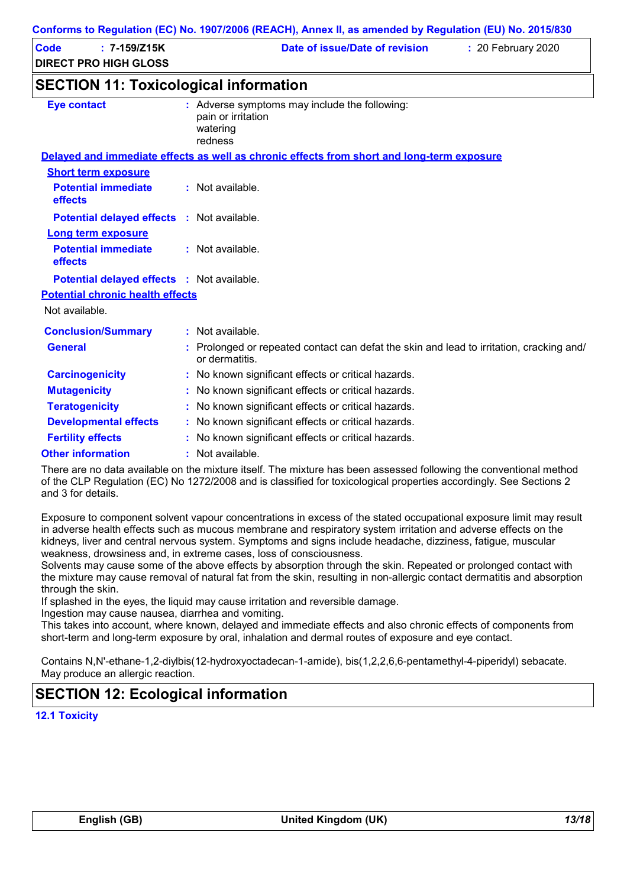| <b>Code</b><br>$: 7 - 159/Z15K$<br><b>DIRECT PRO HIGH GLOSS</b>     | Date of issue/Date of revision<br>: 20 February 2020                                                       |
|---------------------------------------------------------------------|------------------------------------------------------------------------------------------------------------|
| <b>SECTION 11: Toxicological information</b>                        |                                                                                                            |
| <b>Eye contact</b>                                                  | : Adverse symptoms may include the following:<br>pain or irritation<br>watering<br>redness                 |
|                                                                     | Delayed and immediate effects as well as chronic effects from short and long-term exposure                 |
| <b>Short term exposure</b><br><b>Potential immediate</b><br>effects | : Not available.                                                                                           |
| Potential delayed effects : Not available.                          |                                                                                                            |
| <b>Long term exposure</b><br><b>Potential immediate</b><br>effects  | : Not available.                                                                                           |
| Potential delayed effects : Not available.                          |                                                                                                            |
| <b>Potential chronic health effects</b>                             |                                                                                                            |
| Not available.                                                      |                                                                                                            |
| <b>Conclusion/Summary</b>                                           | : Not available.                                                                                           |
| <b>General</b>                                                      | : Prolonged or repeated contact can defat the skin and lead to irritation, cracking and/<br>or dermatitis. |
| <b>Carcinogenicity</b>                                              | : No known significant effects or critical hazards.                                                        |
| <b>Mutagenicity</b>                                                 | : No known significant effects or critical hazards.                                                        |
| <b>Teratogenicity</b>                                               | : No known significant effects or critical hazards.                                                        |
| <b>Developmental effects</b>                                        | : No known significant effects or critical hazards.                                                        |
| <b>Fertility effects</b>                                            | : No known significant effects or critical hazards.                                                        |

**Other information :** : Not available.

There are no data available on the mixture itself. The mixture has been assessed following the conventional method of the CLP Regulation (EC) No 1272/2008 and is classified for toxicological properties accordingly. See Sections 2 and 3 for details.

Exposure to component solvent vapour concentrations in excess of the stated occupational exposure limit may result in adverse health effects such as mucous membrane and respiratory system irritation and adverse effects on the kidneys, liver and central nervous system. Symptoms and signs include headache, dizziness, fatigue, muscular weakness, drowsiness and, in extreme cases, loss of consciousness.

Solvents may cause some of the above effects by absorption through the skin. Repeated or prolonged contact with the mixture may cause removal of natural fat from the skin, resulting in non-allergic contact dermatitis and absorption through the skin.

If splashed in the eyes, the liquid may cause irritation and reversible damage.

Ingestion may cause nausea, diarrhea and vomiting.

This takes into account, where known, delayed and immediate effects and also chronic effects of components from short-term and long-term exposure by oral, inhalation and dermal routes of exposure and eye contact.

Contains N,N'-ethane-1,2-diylbis(12-hydroxyoctadecan-1-amide), bis(1,2,2,6,6-pentamethyl-4-piperidyl) sebacate. May produce an allergic reaction.

# **SECTION 12: Ecological information**

**12.1 Toxicity**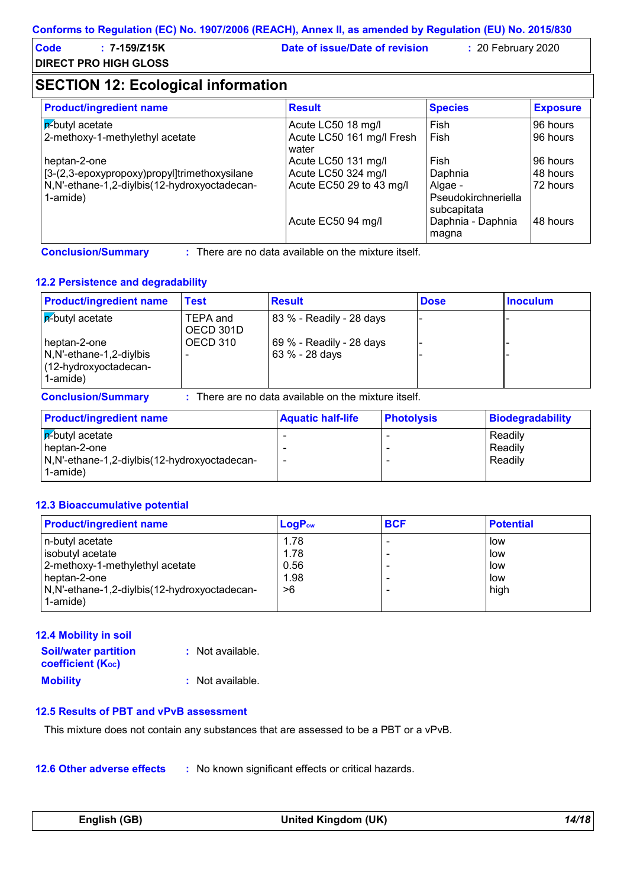| Code | $: 7 - 159/Z15K$             | Date of issue/Date of revision | $: 20$ February 2020 |  |
|------|------------------------------|--------------------------------|----------------------|--|
|      | <b>DIRECT PRO HIGH GLOSS</b> |                                |                      |  |

# **SECTION 12: Ecological information**

| <b>Product/ingredient name</b>                           | <b>Result</b>                      | <b>Species</b>                                | <b>Exposure</b> |
|----------------------------------------------------------|------------------------------------|-----------------------------------------------|-----------------|
| $ \vec{r}$ -butyl acetate                                | Acute LC50 18 mg/l                 | Fish                                          | 96 hours        |
| 2-methoxy-1-methylethyl acetate                          | Acute LC50 161 mg/l Fresh<br>water | Fish                                          | 96 hours        |
| heptan-2-one                                             | Acute LC50 131 mg/l                | Fish                                          | 96 hours        |
| [3-(2,3-epoxypropoxy)propyl]trimethoxysilane             | Acute LC50 324 mg/l                | Daphnia                                       | 48 hours        |
| N,N'-ethane-1,2-diylbis(12-hydroxyoctadecan-<br>1-amide) | Acute EC50 29 to 43 mg/l           | Algae -<br>Pseudokirchneriella<br>subcapitata | 72 hours        |
|                                                          | Acute EC50 94 mg/l                 | Daphnia - Daphnia<br>magna                    | 48 hours        |

**Conclusion/Summary :**

: There are no data available on the mixture itself.

#### **12.2 Persistence and degradability**

| <b>Product/ingredient name</b>                                                 | Test                  | <b>Result</b>                                      | <b>Dose</b> | <b>Inoculum</b> |
|--------------------------------------------------------------------------------|-----------------------|----------------------------------------------------|-------------|-----------------|
| $ \vec{r}$ -butyl acetate                                                      | TEPA and<br>OECD 301D | 83 % - Readily - 28 days                           |             |                 |
| heptan-2-one<br>N, N'-ethane-1, 2-diylbis<br>(12-hydroxyoctadecan-<br>1-amide) | OECD 310              | 69 % - Readily - 28 days<br>63 % - 28 days         |             |                 |
| <b>Conclusion/Summary</b>                                                      |                       | There are no data available on the mixture itself. |             |                 |

| <b>Product/ingredient name</b>                                                                 | <b>Aquatic half-life</b> | <b>Photolysis</b> | Biodegradability              |
|------------------------------------------------------------------------------------------------|--------------------------|-------------------|-------------------------------|
| $ \overline{p}$ -butyl acetate<br>heptan-2-one<br>N,N'-ethane-1,2-diylbis(12-hydroxyoctadecan- |                          |                   | Readily<br>Readily<br>Readily |
| 1-amide)                                                                                       |                          |                   |                               |

#### **12.3 Bioaccumulative potential**

| <b>Product/ingredient name</b>               | $LogP_{ow}$ | <b>BCF</b> | <b>Potential</b> |
|----------------------------------------------|-------------|------------|------------------|
| n-butyl acetate                              | 1.78        |            | low              |
| isobutyl acetate                             | 1.78        |            | low              |
| 2-methoxy-1-methylethyl acetate              | 0.56        |            | low              |
| heptan-2-one                                 | 1.98        |            | low              |
| N,N'-ethane-1,2-diylbis(12-hydroxyoctadecan- | >6          |            | high             |
| 1-amide)                                     |             |            |                  |

#### **12.4 Mobility in soil**

| <b>Soil/water partition</b><br><b>coefficient (Koc)</b> | : Not available. |
|---------------------------------------------------------|------------------|
| <b>Mobility</b>                                         | : Not available. |

#### **12.5 Results of PBT and vPvB assessment**

This mixture does not contain any substances that are assessed to be a PBT or a vPvB.

**12.6 Other adverse effects** : No known significant effects or critical hazards.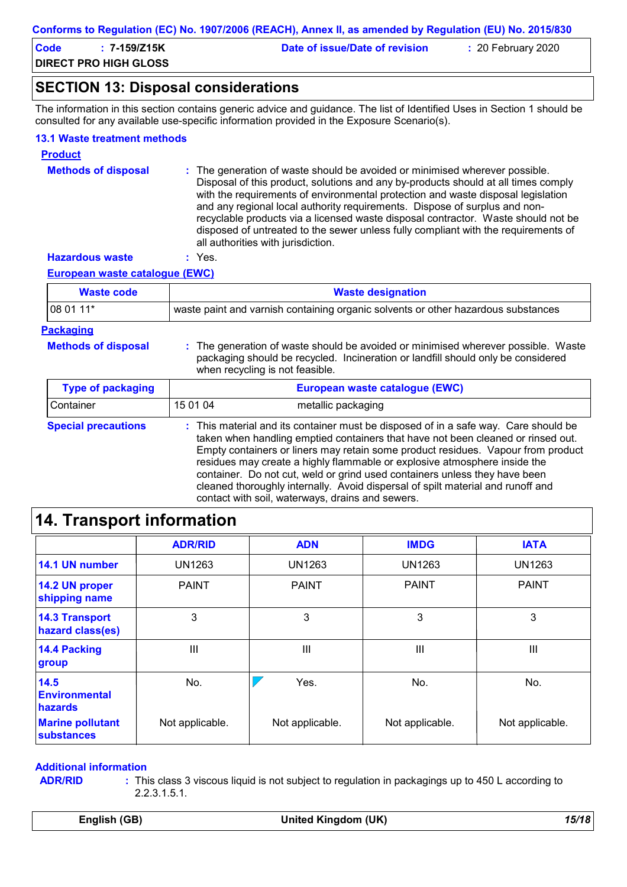| Code | 7-159/Z15K                   | Date of issue/Date of revision | $: 20$ February 2020 |  |
|------|------------------------------|--------------------------------|----------------------|--|
|      | <b>DIRECT PRO HIGH GLOSS</b> |                                |                      |  |

### **SECTION 13: Disposal considerations**

The information in this section contains generic advice and guidance. The list of Identified Uses in Section 1 should be consulted for any available use-specific information provided in the Exposure Scenario(s).

#### **13.1 Waste treatment methods**

| <b>Product</b>             |                                                                                                                                                                                                                                                                                                                                                                                                                                                                                                                                                      |
|----------------------------|------------------------------------------------------------------------------------------------------------------------------------------------------------------------------------------------------------------------------------------------------------------------------------------------------------------------------------------------------------------------------------------------------------------------------------------------------------------------------------------------------------------------------------------------------|
| <b>Methods of disposal</b> | : The generation of waste should be avoided or minimised wherever possible.<br>Disposal of this product, solutions and any by-products should at all times comply<br>with the requirements of environmental protection and waste disposal legislation<br>and any regional local authority requirements. Dispose of surplus and non-<br>recyclable products via a licensed waste disposal contractor. Waste should not be<br>disposed of untreated to the sewer unless fully compliant with the requirements of<br>all authorities with jurisdiction. |
| <b>Hazardous waste</b>     | $:$ Yes.                                                                                                                                                                                                                                                                                                                                                                                                                                                                                                                                             |

**European waste catalogue (EWC)**

| Waste code       | <b>Waste designation</b>                                                          |
|------------------|-----------------------------------------------------------------------------------|
| $1080111*$       | waste paint and varnish containing organic solvents or other hazardous substances |
| <b>Packaging</b> |                                                                                   |

| <b>Methods of dispo</b> |  |  |
|-------------------------|--|--|
|-------------------------|--|--|

**Methods of disposal :** The generation of waste should be avoided or minimised wherever possible. Waste packaging should be recycled. Incineration or landfill should only be considered when recycling is not feasible.

| <b>Type of packaging</b>   | European waste catalogue (EWC) |                                                                                                                                                                                                                                                                                                                                                                                                                                                                                                                                                               |
|----------------------------|--------------------------------|---------------------------------------------------------------------------------------------------------------------------------------------------------------------------------------------------------------------------------------------------------------------------------------------------------------------------------------------------------------------------------------------------------------------------------------------------------------------------------------------------------------------------------------------------------------|
| Container                  | 15 01 04                       | metallic packaging                                                                                                                                                                                                                                                                                                                                                                                                                                                                                                                                            |
| <b>Special precautions</b> |                                | : This material and its container must be disposed of in a safe way. Care should be<br>taken when handling emptied containers that have not been cleaned or rinsed out.<br>Empty containers or liners may retain some product residues. Vapour from product<br>residues may create a highly flammable or explosive atmosphere inside the<br>container. Do not cut, weld or grind used containers unless they have been<br>cleaned thoroughly internally. Avoid dispersal of spilt material and runoff and<br>contact with soil, waterways, drains and sewers. |

# **14. Transport information**

|                                              | <b>ADR/RID</b>  | <b>ADN</b>      | <b>IMDG</b>     | <b>IATA</b>     |
|----------------------------------------------|-----------------|-----------------|-----------------|-----------------|
| 14.1 UN number                               | UN1263          | <b>UN1263</b>   | <b>UN1263</b>   | <b>UN1263</b>   |
| 14.2 UN proper<br>shipping name              | <b>PAINT</b>    | <b>PAINT</b>    | <b>PAINT</b>    | <b>PAINT</b>    |
| <b>14.3 Transport</b><br>hazard class(es)    | 3               | 3               | 3               | 3               |
| 14.4 Packing<br>group                        | Ш               | III             | Ш               | Ш               |
| 14.5<br>Environmental<br><b>hazards</b>      | No.             | Yes.            | No.             | No.             |
| <b>Marine pollutant</b><br><b>substances</b> | Not applicable. | Not applicable. | Not applicable. | Not applicable. |

#### **Additional information**

**ADR/RID :**

This class 3 viscous liquid is not subject to regulation in packagings up to 450 L according to 2.2.3.1.5.1.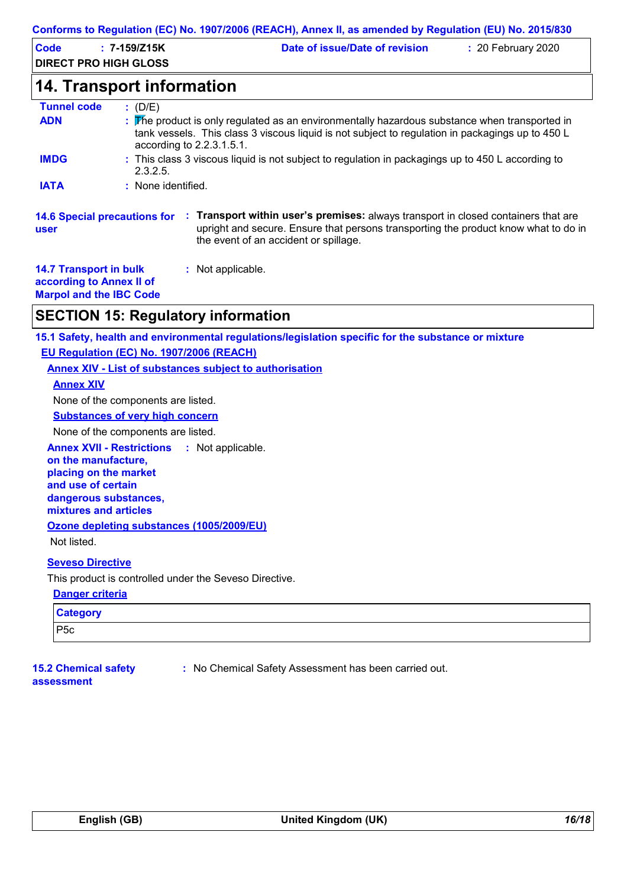|                                                                                             |                                      | Conforms to Regulation (EC) No. 1907/2006 (REACH), Annex II, as amended by Regulation (EU) No. 2015/830                                                                                                            |                    |
|---------------------------------------------------------------------------------------------|--------------------------------------|--------------------------------------------------------------------------------------------------------------------------------------------------------------------------------------------------------------------|--------------------|
| <b>Code</b><br><b>DIRECT PRO HIGH GLOSS</b>                                                 | $: 7 - 159/Z15K$                     | Date of issue/Date of revision                                                                                                                                                                                     | : 20 February 2020 |
|                                                                                             | <b>14. Transport information</b>     |                                                                                                                                                                                                                    |                    |
| <b>Tunnel code</b><br><b>ADN</b>                                                            | : (D/E)<br>according to 2.2.3.1.5.1. | : The product is only regulated as an environmentally hazardous substance when transported in<br>tank vessels. This class 3 viscous liquid is not subject to regulation in packagings up to 450 L                  |                    |
| <b>IMDG</b>                                                                                 | 2.3.2.5.                             | : This class 3 viscous liquid is not subject to regulation in packagings up to 450 L according to                                                                                                                  |                    |
| <b>IATA</b>                                                                                 | : None identified.                   |                                                                                                                                                                                                                    |                    |
| <b>14.6 Special precautions for</b><br>user                                                 |                                      | : Transport within user's premises: always transport in closed containers that are<br>upright and secure. Ensure that persons transporting the product know what to do in<br>the event of an accident or spillage. |                    |
| <b>14.7 Transport in bulk</b><br>according to Annex II of<br><b>Marpol and the IBC Code</b> |                                      | : Not applicable.                                                                                                                                                                                                  |                    |

# **SECTION 15: Regulatory information**

**15.1 Safety, health and environmental regulations/legislation specific for the substance or mixture**

**EU Regulation (EC) No. 1907/2006 (REACH)**

**Annex XIV - List of substances subject to authorisation**

**Annex XIV**

None of the components are listed.

**Substances of very high concern**

None of the components are listed.

**Annex XVII - Restrictions : Not applicable.** 

**on the manufacture, placing on the market and use of certain dangerous substances, mixtures and articles**

**Ozone depleting substances (1005/2009/EU)**

Not listed.

#### **Seveso Directive**

This product is controlled under the Seveso Directive.

#### **Danger criteria**

| <b>Category</b> |  |
|-----------------|--|
| P5c             |  |

#### **15.2 Chemical safety assessment**

**:** No Chemical Safety Assessment has been carried out.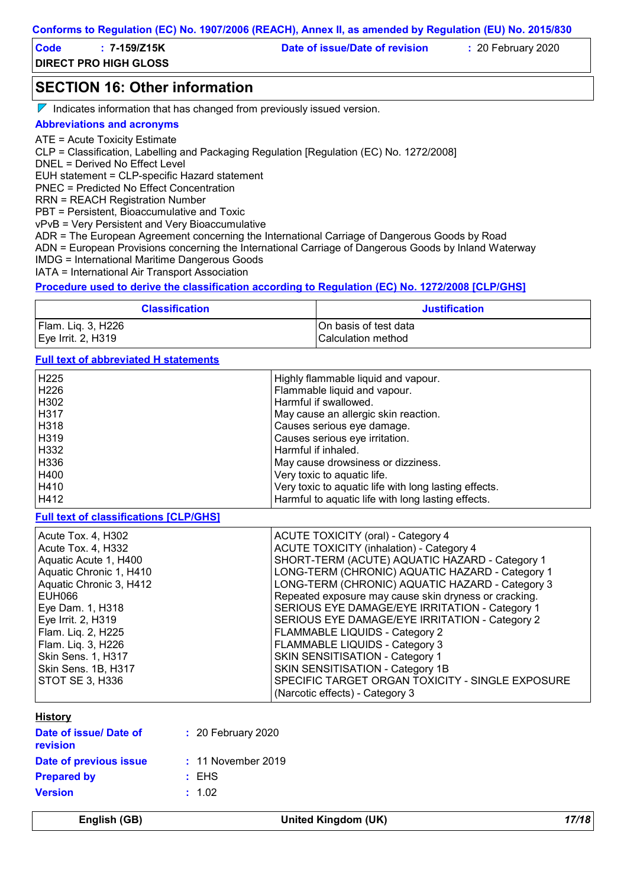| Code | 7-159/Z15K                   | Date of issue/Date of revision | $: 20$ February 2020 |  |
|------|------------------------------|--------------------------------|----------------------|--|
|      | <b>DIRECT PRO HIGH GLOSS</b> |                                |                      |  |

### **SECTION 16: Other information**

 $\nabla$  Indicates information that has changed from previously issued version.

#### **Abbreviations and acronyms**

ATE = Acute Toxicity Estimate

CLP = Classification, Labelling and Packaging Regulation [Regulation (EC) No. 1272/2008]

DNEL = Derived No Effect Level

EUH statement = CLP-specific Hazard statement

PNEC = Predicted No Effect Concentration

RRN = REACH Registration Number

PBT = Persistent, Bioaccumulative and Toxic

vPvB = Very Persistent and Very Bioaccumulative

ADR = The European Agreement concerning the International Carriage of Dangerous Goods by Road

ADN = European Provisions concerning the International Carriage of Dangerous Goods by Inland Waterway

IMDG = International Maritime Dangerous Goods

IATA = International Air Transport Association

#### **Procedure used to derive the classification according to Regulation (EC) No. 1272/2008 [CLP/GHS]**

| <b>Classification</b> | <b>Justification</b>      |
|-----------------------|---------------------------|
| Flam. Liq. 3, H226    | On basis of test data     |
| Eye Irrit. 2, H319    | <b>Calculation method</b> |

#### **Full text of abbreviated H statements**

| H225<br>H226 | Highly flammable liquid and vapour.<br>Flammable liquid and vapour. |
|--------------|---------------------------------------------------------------------|
| H302         | Harmful if swallowed.                                               |
| I H317       | May cause an allergic skin reaction.                                |
| H318         | Causes serious eye damage.                                          |
| H319         | Causes serious eye irritation.                                      |
| H332         | Harmful if inhaled.                                                 |
| H336         | May cause drowsiness or dizziness.                                  |
| H400         | Very toxic to aquatic life.                                         |
| H410         | Very toxic to aquatic life with long lasting effects.               |
| H412         | Harmful to aquatic life with long lasting effects.                  |

**Full text of classifications [CLP/GHS]**

| Acute Tox. 4, H302        | <b>ACUTE TOXICITY (oral) - Category 4</b>             |
|---------------------------|-------------------------------------------------------|
| Acute Tox. 4, H332        | <b>ACUTE TOXICITY (inhalation) - Category 4</b>       |
| Aquatic Acute 1, H400     | SHORT-TERM (ACUTE) AQUATIC HAZARD - Category 1        |
| Aquatic Chronic 1, H410   | LONG-TERM (CHRONIC) AQUATIC HAZARD - Category 1       |
| Aquatic Chronic 3, H412   | LONG-TERM (CHRONIC) AQUATIC HAZARD - Category 3       |
| EUH066                    | Repeated exposure may cause skin dryness or cracking. |
| Eye Dam. 1, H318          | SERIOUS EYE DAMAGE/EYE IRRITATION - Category 1        |
| Eye Irrit. 2, H319        | SERIOUS EYE DAMAGE/EYE IRRITATION - Category 2        |
| Flam. Liq. 2, H225        | FLAMMABLE LIQUIDS - Category 2                        |
| Flam. Liq. 3, H226        | FLAMMABLE LIQUIDS - Category 3                        |
| <b>Skin Sens. 1, H317</b> | <b>SKIN SENSITISATION - Category 1</b>                |
| Skin Sens. 1B, H317       | SKIN SENSITISATION - Category 1B                      |
| STOT SE 3, H336           | SPECIFIC TARGET ORGAN TOXICITY - SINGLE EXPOSURE      |
|                           | (Narcotic effects) - Category 3                       |

#### **History**

| Date of issue/ Date of<br><b>revision</b> | $: 20$ February 2020 |
|-------------------------------------------|----------------------|
| Date of previous issue                    | $: 11$ November 2019 |
| <b>Prepared by</b>                        | : EHS                |
| <b>Version</b>                            | : 1.02               |